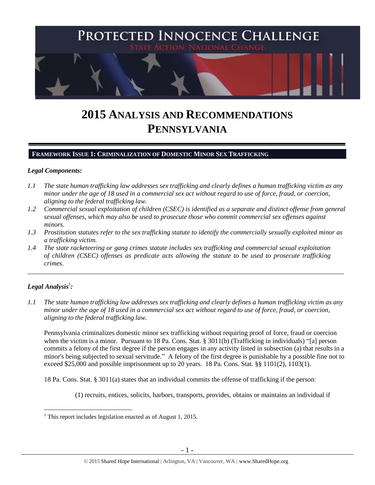

# **2015 ANALYSIS AND RECOMMENDATIONS PENNSYLVANIA**

## **FRAMEWORK ISSUE 1: CRIMINALIZATION OF DOMESTIC MINOR SEX TRAFFICKING**

## *Legal Components:*

- *1.1 The state human trafficking law addresses sex trafficking and clearly defines a human trafficking victim as any minor under the age of 18 used in a commercial sex act without regard to use of force, fraud, or coercion, aligning to the federal trafficking law.*
- *1.2 Commercial sexual exploitation of children (CSEC) is identified as a separate and distinct offense from general sexual offenses, which may also be used to prosecute those who commit commercial sex offenses against minors.*
- *1.3 Prostitution statutes refer to the sex trafficking statute to identify the commercially sexually exploited minor as a trafficking victim.*

\_\_\_\_\_\_\_\_\_\_\_\_\_\_\_\_\_\_\_\_\_\_\_\_\_\_\_\_\_\_\_\_\_\_\_\_\_\_\_\_\_\_\_\_\_\_\_\_\_\_\_\_\_\_\_\_\_\_\_\_\_\_\_\_\_\_\_\_\_\_\_\_\_\_\_\_\_\_\_\_\_\_\_\_\_\_\_\_\_\_\_\_\_\_

*1.4 The state racketeering or gang crimes statute includes sex trafficking and commercial sexual exploitation of children (CSEC) offenses as predicate acts allowing the statute to be used to prosecute trafficking crimes.* 

# $\bm{L}$ egal Analysis $^1$ :

 $\overline{a}$ 

*1.1 The state human trafficking law addresses sex trafficking and clearly defines a human trafficking victim as any minor under the age of 18 used in a commercial sex act without regard to use of force, fraud, or coercion, aligning to the federal trafficking law.*

Pennsylvania criminalizes domestic minor sex trafficking without requiring proof of force, fraud or coercion when the victim is a minor. Pursuant to 18 Pa. Cons. Stat. § 3011(b) (Trafficking in individuals) "[a] person commits a felony of the first degree if the person engages in any activity listed in subsection (a) that results in a minor's being subjected to sexual servitude." A felony of the first degree is punishable by a possible fine not to exceed \$25,000 and possible imprisonment up to 20 years. 18 Pa. Cons. Stat. §§ 1101(2), 1103(1).

18 Pa. Cons. Stat. § 3011(a) states that an individual commits the offense of trafficking if the person:

(1) recruits, entices, solicits, harbors, transports, provides, obtains or maintains an individual if

 $<sup>1</sup>$  This report includes legislation enacted as of August 1, 2015.</sup>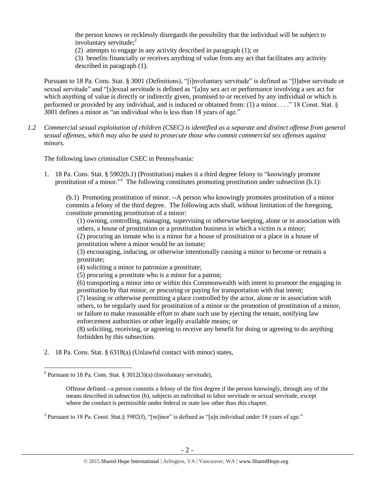the person knows or recklessly disregards the possibility that the individual will be subject to involuntary servitude; $2^2$ 

(2) attempts to engage in any activity described in paragraph (1); or

(3) benefits financially or receives anything of value from any act that facilitates any activity described in paragraph (1).

Pursuant to 18 Pa. Cons. Stat. § 3001 (Definitions), "[i]nvoluntary servitude" is defined as "[l]abor servitude or sexual servitude" and "[s]exual servitude is defined as "[a]ny sex act or performance involving a sex act for which anything of value is directly or indirectly given, promised to or received by any individual or which is performed or provided by any individual, and is induced or obtained from: (1) a minor. . . ." 18 Const. Stat. § 3001 defines a minor as "an individual who is less than 18 years of age."

*1.2 Commercial sexual exploitation of children (CSEC) is identified as a separate and distinct offense from general sexual offenses, which may also be used to prosecute those who commit commercial sex offenses against minors.*

The following laws criminalize CSEC in Pennsylvania:

1. 18 Pa. Cons. Stat. § 5902(b.1) (Prostitution) makes it a third degree felony to "knowingly promote prostitution of a minor."<sup>3</sup> The following constitutes promoting prostitution under subsection (b.1):

(b.1) Promoting prostitution of minor. --A person who knowingly promotes prostitution of a minor commits a felony of the third degree. The following acts shall, without limitation of the foregoing, constitute promoting prostitution of a minor:

(1) owning, controlling, managing, supervising or otherwise keeping, alone or in association with others, a house of prostitution or a prostitution business in which a victim is a minor;

(2) procuring an inmate who is a minor for a house of prostitution or a place in a house of prostitution where a minor would be an inmate;

(3) encouraging, inducing, or otherwise intentionally causing a minor to become or remain a prostitute;

(4) soliciting a minor to patronize a prostitute;

(5) procuring a prostitute who is a minor for a patron;

(6) transporting a minor into or within this Commonwealth with intent to promote the engaging in prostitution by that minor, or procuring or paying for transportation with that intent;

(7) leasing or otherwise permitting a place controlled by the actor, alone or in association with others, to be regularly used for prostitution of a minor or the promotion of prostitution of a minor, or failure to make reasonable effort to abate such use by ejecting the tenant, notifying law enforcement authorities or other legally available means; or

(8) soliciting, receiving, or agreeing to receive any benefit for doing or agreeing to do anything forbidden by this subsection.

2. 18 Pa. Cons. Stat. § 6318(a) (Unlawful contact with minor) states,

<sup>&</sup>lt;sup>2</sup> Pursuant to 18 Pa. Cons. Stat. § 3012(3)(a) (Involuntary servitude),

Offense defined.--a person commits a felony of the first degree if the person knowingly, through any of the means described in subsection (b), subjects an individual to labor servitude or sexual servitude, except where the conduct is permissible under federal or state law other than this chapter.

<sup>&</sup>lt;sup>3</sup> Pursuant to 18 Pa. Const. Stat.§ 5902(f), "[m]inor" is defined as "[a]n individual under 18 years of age."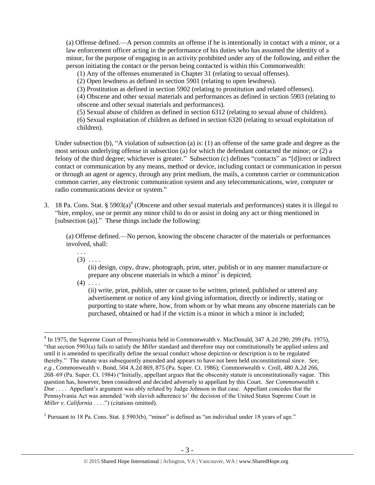(a) Offense defined.—A person commits an offense if he is intentionally in contact with a minor, or a law enforcement officer acting in the performance of his duties who has assumed the identity of a minor, for the purpose of engaging in an activity prohibited under any of the following, and either the person initiating the contact or the person being contacted is within this Commonwealth:

(1) Any of the offenses enumerated in Chapter 31 (relating to sexual offenses).

(2) Open lewdness as defined in section 5901 (relating to open lewdness).

(3) Prostitution as defined in section 5902 (relating to prostitution and related offenses).

(4) Obscene and other sexual materials and performances as defined in section 5903 (relating to obscene and other sexual materials and performances).

(5) Sexual abuse of children as defined in section 6312 (relating to sexual abuse of children). (6) Sexual exploitation of children as defined in section 6320 (relating to sexual exploitation of children).

Under subsection (b), "A violation of subsection (a) is: (1) an offense of the same grade and degree as the most serious underlying offense in subsection (a) for which the defendant contacted the minor; or (2) a felony of the third degree; whichever is greater." Subsection (c) defines "contacts" as "[d]irect or indirect contact or communication by any means, method or device, including contact or communication in person or through an agent or agency, through any print medium, the mails, a common carrier or communication common carrier, any electronic communication system and any telecommunications, wire, computer or radio communications device or system."

3. 18 Pa. Cons. Stat.  $\S 5903(a)^4$  (Obscene and other sexual materials and performances) states it is illegal to "hire, employ, use or permit any minor child to do or assist in doing any act or thing mentioned in [subsection (a)]." These things include the following:

(a) Offense defined.—No person, knowing the obscene character of the materials or performances involved, shall:

. . .  $(3) \ldots$ 

> (ii) design, copy, draw, photograph, print, utter, publish or in any manner manufacture or prepare any obscene materials in which a minor $\delta$  is depicted;

 $(4)$  . . . .

 $\overline{a}$ 

(ii) write, print, publish, utter or cause to be written, printed, published or uttered any advertisement or notice of any kind giving information, directly or indirectly, stating or purporting to state where, how, from whom or by what means any obscene materials can be purchased, obtained or had if the victim is a minor in which a minor is included;

<sup>&</sup>lt;sup>4</sup> In 1975, the Supreme Court of Pennsylvania held in Commonwealth v. MacDonald, 347 A.2d 290, 299 (Pa. 1975), "that section 5903(a) fails to satisfy the *Miller* standard and therefore may not constitutionally be applied unless and until it is amended to specifically define the sexual conduct whose depiction or description is to be regulated thereby." The statute was subsequently amended and appears to have not been held unconstitutional since. *See, e.g.*, Commonwealth v. Bond, 504 A.2d 869, 875 (Pa. Super. Ct. 1986); Commonwealth v. Croll, 480 A.2d 266, 268–69 (Pa. Super. Ct. 1984) ("Initially, appellant argues that the obscenity statute is unconstitutionally vague. This question has, however, been considered and decided adversely to appellant by this Court. *See Commonwealth v. Doe* . . . . Appellant's argument was ably refuted by Judge Johnson in that case. Appellant concedes that the Pennsylvania Act was amended 'with slavish adherence to' the decision of the United States Supreme Court in *Miller v. California* . . . .") (citations omitted).

<sup>&</sup>lt;sup>5</sup> Pursuant to 18 Pa. Cons. Stat. § 5903(b), "minor" is defined as "an individual under 18 years of age."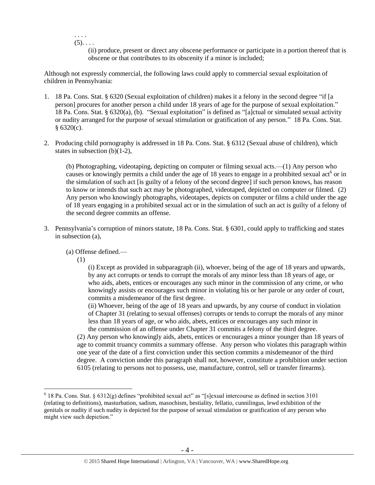. . . .  $(5)$ . . . .

> (ii) produce, present or direct any obscene performance or participate in a portion thereof that is obscene or that contributes to its obscenity if a minor is included;

Although not expressly commercial, the following laws could apply to commercial sexual exploitation of children in Pennsylvania:

- 1. 18 Pa. Cons. Stat. § 6320 (Sexual exploitation of children) makes it a felony in the second degree "if [a person] procures for another person a child under 18 years of age for the purpose of sexual exploitation." 18 Pa. Cons. Stat. § 6320(a), (b). "Sexual exploitation" is defined as "[a]ctual or simulated sexual activity or nudity arranged for the purpose of sexual stimulation or gratification of any person." 18 Pa. Cons. Stat.  $§ 6320(c).$
- 2. Producing child pornography is addressed in 18 Pa. Cons. Stat. § 6312 (Sexual abuse of children), which states in subsection (b)(1-2),

(b) Photographing, videotaping, depicting on computer or filming sexual acts.—(1) Any person who causes or knowingly permits a child under the age of 18 years to engage in a prohibited sexual act<sup>6</sup> or in the simulation of such act [is guilty of a felony of the second degree] if such person knows, has reason to know or intends that such act may be photographed, videotaped, depicted on computer or filmed. (2) Any person who knowingly photographs, videotapes, depicts on computer or films a child under the age of 18 years engaging in a prohibited sexual act or in the simulation of such an act is guilty of a felony of the second degree commits an offense.

3. Pennsylvania's corruption of minors statute, 18 Pa. Cons. Stat. § 6301, could apply to trafficking and states in subsection (a),

(a) Offense defined.—

(1)

 $\overline{a}$ 

(i) Except as provided in subparagraph (ii), whoever, being of the age of 18 years and upwards, by any act corrupts or tends to corrupt the morals of any minor less than 18 years of age, or who aids, abets, entices or encourages any such minor in the commission of any crime, or who knowingly assists or encourages such minor in violating his or her parole or any order of court, commits a misdemeanor of the first degree.

(ii) Whoever, being of the age of 18 years and upwards, by any course of conduct in violation of Chapter 31 (relating to sexual offenses) corrupts or tends to corrupt the morals of any minor less than 18 years of age, or who aids, abets, entices or encourages any such minor in the commission of an offense under Chapter 31 commits a felony of the third degree.

(2) Any person who knowingly aids, abets, entices or encourages a minor younger than 18 years of age to commit truancy commits a summary offense. Any person who violates this paragraph within one year of the date of a first conviction under this section commits a misdemeanor of the third degree. A conviction under this paragraph shall not, however, constitute a prohibition under section 6105 (relating to persons not to possess, use, manufacture, control, sell or transfer firearms).

 $6$  18 Pa. Cons. Stat. § 6312(g) defines "prohibited sexual act" as "[s]exual intercourse as defined in section 3101 (relating to definitions), masturbation, sadism, masochism, bestiality, fellatio, cunnilingus, lewd exhibition of the genitals or nudity if such nudity is depicted for the purpose of sexual stimulation or gratification of any person who might view such depiction."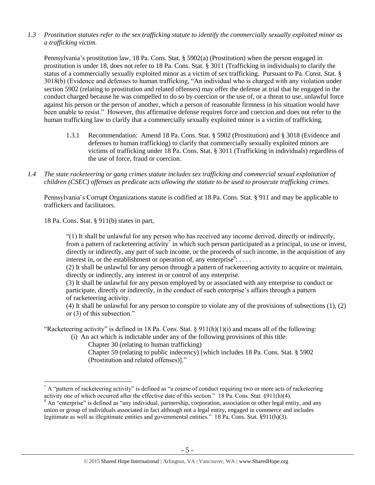*1.3 Prostitution statutes refer to the sex trafficking statute to identify the commercially sexually exploited minor as a trafficking victim.* 

Pennsylvania's prostitution law, 18 Pa. Cons. Stat. § 5902(a) (Prostitution) when the person engaged in prostitution is under 18, does not refer to 18 Pa. Cons. Stat. § 3011 (Trafficking in individuals) to clarify the status of a commercially sexually exploited minor as a victim of sex trafficking. Pursuant to Pa. Const. Stat. § 3018(b) (Evidence and defenses to human trafficking, "An individual who is charged with any violation under section 5902 (relating to prostitution and related offenses) may offer the defense at trial that he engaged in the conduct charged because he was compelled to do so by coercion or the use of, or a threat to use, unlawful force against his person or the person of another, which a person of reasonable firmness in his situation would have been unable to resist." However, this affirmative defense requires force and coercion and does not refer to the human trafficking law to clarify that a commercially sexually exploited minor is a victim of trafficking.

- 1.3.1 Recommendation: Amend 18 Pa. Cons. Stat. § 5902 (Prostitution) and § 3018 (Evidence and defenses to human trafficking) to clarify that commercially sexually exploited minors are victims of trafficking under 18 Pa. Cons. Stat. § 3011 (Trafficking in individuals) regardless of the use of force, fraud or coercion.
- *1.4 The state racketeering or gang crimes statute includes sex trafficking and commercial sexual exploitation of children (CSEC) offenses as predicate acts allowing the statute to be used to prosecute trafficking crimes.*

Pennsylvania's Corrupt Organizations statute is codified at 18 Pa. Cons. Stat. § 911 and may be applicable to traffickers and facilitators.

18 Pa. Cons. Stat. § 911(b) states in part,

 $\overline{a}$ 

"(1) It shall be unlawful for any person who has received any income derived, directly or indirectly, from a pattern of racketeering activity<sup>7</sup> in which such person participated as a principal, to use or invest, directly or indirectly, any part of such income, or the proceeds of such income, in the acquisition of any interest in, or the establishment or operation of, any enterprise<sup>8</sup>: ...

(2) It shall be unlawful for any person through a pattern of racketeering activity to acquire or maintain, directly or indirectly, any interest in or control of any enterprise.

(3) It shall be unlawful for any person employed by or associated with any enterprise to conduct or participate, directly or indirectly, in the conduct of such enterprise's affairs through a pattern of racketeering activity.

(4) It shall be unlawful for any person to conspire to violate any of the provisions of subsections (1), (2) or (3) of this subsection."

"Racketeering activity" is defined in 18 Pa. Cons. Stat.  $\S 911(h)(1)(i)$  and means all of the following:

- (i) An act which is indictable under any of the following provisions of this title:
	- Chapter 30 (relating to human trafficking)
	- Chapter 59 (relating to public indecency) [which includes 18 Pa. Cons. Stat. § 5902 (Prostitution and related offenses)]."

 $^7$  A "pattern of racketeering activity" is defined as "a course of conduct requiring two or more acts of racketeering activity one of which occurred after the effective date of this section." 18 Pa. Cons. Stat. §911(h)(4).

<sup>&</sup>lt;sup>8</sup> An "enterprise" is defined as "any individual, partnership, corporation, association or other legal entity, and any union or group of individuals associated in fact although not a legal entity, engaged in commerce and includes legitimate as well as illegitimate entities and governmental entities." 18 Pa. Cons. Stat. §911(h)(3).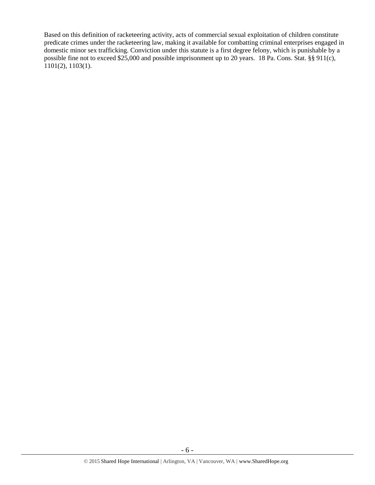Based on this definition of racketeering activity, acts of commercial sexual exploitation of children constitute predicate crimes under the racketeering law, making it available for combatting criminal enterprises engaged in domestic minor sex trafficking. Conviction under this statute is a first degree felony, which is punishable by a possible fine not to exceed \$25,000 and possible imprisonment up to 20 years. 18 Pa. Cons. Stat. §§ 911(c), 1101(2), 1103(1).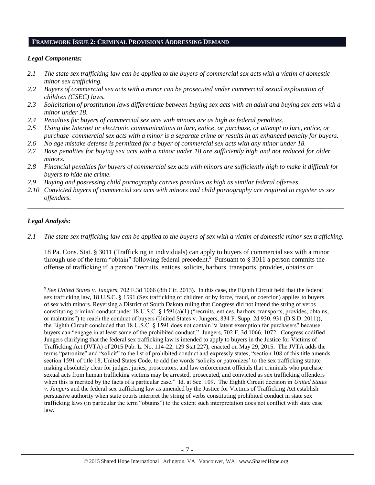### **FRAMEWORK ISSUE 2: CRIMINAL PROVISIONS ADDRESSING DEMAND**

## *Legal Components:*

- *2.1 The state sex trafficking law can be applied to the buyers of commercial sex acts with a victim of domestic minor sex trafficking.*
- *2.2 Buyers of commercial sex acts with a minor can be prosecuted under commercial sexual exploitation of children (CSEC) laws.*
- *2.3 Solicitation of prostitution laws differentiate between buying sex acts with an adult and buying sex acts with a minor under 18.*
- *2.4 Penalties for buyers of commercial sex acts with minors are as high as federal penalties.*
- *2.5 Using the Internet or electronic communications to lure, entice, or purchase, or attempt to lure, entice, or purchase commercial sex acts with a minor is a separate crime or results in an enhanced penalty for buyers.*
- *2.6 No age mistake defense is permitted for a buyer of commercial sex acts with any minor under 18.*
- *2.7 Base penalties for buying sex acts with a minor under 18 are sufficiently high and not reduced for older minors.*
- *2.8 Financial penalties for buyers of commercial sex acts with minors are sufficiently high to make it difficult for buyers to hide the crime.*
- *2.9 Buying and possessing child pornography carries penalties as high as similar federal offenses.*
- *2.10 Convicted buyers of commercial sex acts with minors and child pornography are required to register as sex offenders*.

\_\_\_\_\_\_\_\_\_\_\_\_\_\_\_\_\_\_\_\_\_\_\_\_\_\_\_\_\_\_\_\_\_\_\_\_\_\_\_\_\_\_\_\_\_\_\_\_\_\_\_\_\_\_\_\_\_\_\_\_\_\_\_\_\_\_\_\_\_\_\_\_\_\_\_\_\_\_\_\_\_\_\_\_\_\_\_\_\_\_\_\_\_\_

#### *Legal Analysis:*

 $\overline{a}$ 

*2.1 The state sex trafficking law can be applied to the buyers of sex with a victim of domestic minor sex trafficking.*

18 Pa. Cons. Stat. § 3011 (Trafficking in individuals) can apply to buyers of commercial sex with a minor through use of the term "obtain" following federal precedent. 9 Pursuant to § 3011 a person commits the offense of trafficking if a person "recruits, entices, solicits, harbors, transports, provides, obtains or

<sup>9</sup> *See United States v. Jungers*, 702 F.3d 1066 (8th Cir. 2013). In this case, the Eighth Circuit held that the federal sex trafficking law, 18 U.S.C. § 1591 (Sex trafficking of children or by force, fraud, or coercion) applies to buyers of sex with minors. Reversing a District of South Dakota ruling that Congress did not intend the string of verbs constituting criminal conduct under 18 U.S.C. § 1591(a)(1) ("recruits, entices, harbors, transports, provides, obtains, or maintains") to reach the conduct of buyers (United States v. Jungers, 834 F. Supp. 2d 930, 931 (D.S.D. 2011)), the Eighth Circuit concluded that 18 U.S.C. § 1591 does not contain "a latent exemption for purchasers" because buyers can "engage in at least some of the prohibited conduct." Jungers, 702 F. 3d 1066, 1072. Congress codified Jungers clarifying that the federal sex trafficking law is intended to apply to buyers in the Justice for Victims of Trafficking Act (JVTA) of 2015 Pub. L. No. 114-22, 129 Stat 227), enacted on May 29, 2015. The JVTA adds the terms "patronize" and "solicit" to the list of prohibited conduct and expressly states, "section 108 of this title amends section 1591 of title 18, United States Code, to add the words 'solicits or patronizes' to the sex trafficking statute making absolutely clear for judges, juries, prosecutors, and law enforcement officials that criminals who purchase sexual acts from human trafficking victims may be arrested, prosecuted, and convicted as sex trafficking offenders when this is merited by the facts of a particular case." Id. at Sec. 109. The Eighth Circuit decision in *United States v. Jungers* and the federal sex trafficking law as amended by the Justice for Victims of Trafficking Act establish persuasive authority when state courts interpret the string of verbs constituting prohibited conduct in state sex trafficking laws (in particular the term "obtains") to the extent such interpretation does not conflict with state case law.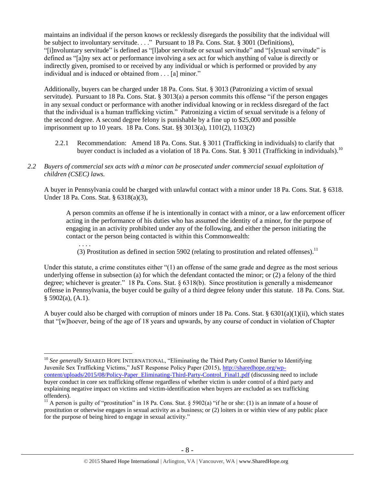maintains an individual if the person knows or recklessly disregards the possibility that the individual will be subject to involuntary servitude. . . ." Pursuant to 18 Pa. Cons. Stat. § 3001 (Definitions), "[i]nvoluntary servitude" is defined as "[l]abor servitude or sexual servitude" and "[s]exual servitude" is defined as "[a]ny sex act or performance involving a sex act for which anything of value is directly or indirectly given, promised to or received by any individual or which is performed or provided by any individual and is induced or obtained from . . . [a] minor."

Additionally, buyers can be charged under 18 Pa. Cons. Stat. § 3013 (Patronizing a victim of sexual servitude). Pursuant to 18 Pa. Cons. Stat. § 3013(a) a person commits this offense "if the person engages in any sexual conduct or performance with another individual knowing or in reckless disregard of the fact that the individual is a human trafficking victim." Patronizing a victim of sexual servitude is a felony of the second degree. A second degree felony is punishable by a fine up to \$25,000 and possible imprisonment up to 10 years. 18 Pa. Cons. Stat. §§ 3013(a), 1101(2), 1103(2)

- 2.2.1 Recommendation: Amend 18 Pa. Cons. Stat. § 3011 (Trafficking in individuals) to clarify that buyer conduct is included as a violation of 18 Pa. Cons. Stat. § 3011 (Trafficking in individuals).<sup>10</sup>
- *2.2 Buyers of commercial sex acts with a minor can be prosecuted under commercial sexual exploitation of children (CSEC) laws.*

A buyer in Pennsylvania could be charged with unlawful contact with a minor under 18 Pa. Cons. Stat. § 6318. Under 18 Pa. Cons. Stat. § 6318(a)(3),

A person commits an offense if he is intentionally in contact with a minor, or a law enforcement officer acting in the performance of his duties who has assumed the identity of a minor, for the purpose of engaging in an activity prohibited under any of the following, and either the person initiating the contact or the person being contacted is within this Commonwealth:

. . . . (3) Prostitution as defined in section 5902 (relating to prostitution and related offenses).<sup>11</sup>

Under this statute, a crime constitutes either "(1) an offense of the same grade and degree as the most serious underlying offense in subsection (a) for which the defendant contacted the minor; or (2) a felony of the third degree; whichever is greater." 18 Pa. Cons. Stat. § 6318(b). Since prostitution is generally a misdemeanor offense in Pennsylvania, the buyer could be guilty of a third degree felony under this statute. 18 Pa. Cons. Stat.  $§$  5902(a), (A.1).

A buyer could also be charged with corruption of minors under 18 Pa. Cons. Stat. §  $6301(a)(1)(ii)$ , which states that "[w]hoever, being of the age of 18 years and upwards, by any course of conduct in violation of Chapter

<sup>&</sup>lt;sup>10</sup> See generally SHARED HOPE INTERNATIONAL, "Eliminating the Third Party Control Barrier to Identifying Juvenile Sex Trafficking Victims," JuST Response Policy Paper (2015), [http://sharedhope.org/wp](http://sharedhope.org/wp-content/uploads/2015/08/Policy-Paper_Eliminating-Third-Party-Control_Final1.pdf)[content/uploads/2015/08/Policy-Paper\\_Eliminating-Third-Party-Control\\_Final1.pdf](http://sharedhope.org/wp-content/uploads/2015/08/Policy-Paper_Eliminating-Third-Party-Control_Final1.pdf) (discussing need to include buyer conduct in core sex trafficking offense regardless of whether victim is under control of a third party and explaining negative impact on victims and victim-identification when buyers are excluded as sex trafficking offenders).

<sup>&</sup>lt;sup>11</sup> A person is guilty of "prostitution" in 18 Pa. Cons. Stat. § 5902(a) "if he or she: (1) is an inmate of a house of prostitution or otherwise engages in sexual activity as a business; or (2) loiters in or within view of any public place for the purpose of being hired to engage in sexual activity."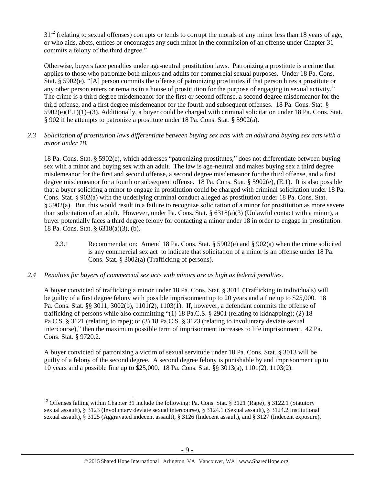$31^{12}$  (relating to sexual offenses) corrupts or tends to corrupt the morals of any minor less than 18 years of age, or who aids, abets, entices or encourages any such minor in the commission of an offense under Chapter 31 commits a felony of the third degree."

Otherwise, buyers face penalties under age-neutral prostitution laws. Patronizing a prostitute is a crime that applies to those who patronize both minors and adults for commercial sexual purposes. Under 18 Pa. Cons. Stat. § 5902(e), "[A] person commits the offense of patronizing prostitutes if that person hires a prostitute or any other person enters or remains in a house of prostitution for the purpose of engaging in sexual activity." The crime is a third degree misdemeanor for the first or second offense, a second degree misdemeanor for the third offense, and a first degree misdemeanor for the fourth and subsequent offenses. 18 Pa. Cons. Stat. § 5902(e)(E.1)(1)–(3). Additionally, a buyer could be charged with criminal solicitation under 18 Pa. Cons. Stat. § 902 if he attempts to patronize a prostitute under 18 Pa. Cons. Stat. § 5902(a).

## *2.3 Solicitation of prostitution laws differentiate between buying sex acts with an adult and buying sex acts with a minor under 18.*

18 Pa. Cons. Stat. § 5902(e), which addresses "patronizing prostitutes," does not differentiate between buying sex with a minor and buying sex with an adult. The law is age-neutral and makes buying sex a third degree misdemeanor for the first and second offense, a second degree misdemeanor for the third offense, and a first degree misdemeanor for a fourth or subsequent offense. 18 Pa. Cons. Stat. § 5902(e), (E.1). It is also possible that a buyer soliciting a minor to engage in prostitution could be charged with criminal solicitation under 18 Pa. Cons. Stat. § 902(a) with the underlying criminal conduct alleged as prostitution under 18 Pa. Cons. Stat. § 5902(a). But, this would result in a failure to recognize solicitation of a minor for prostitution as more severe than solicitation of an adult. However, under Pa. Cons. Stat. § 6318(a)(3) (Unlawful contact with a minor), a buyer potentially faces a third degree felony for contacting a minor under 18 in order to engage in prostitution. 18 Pa. Cons. Stat. § 6318(a)(3), (b).

- 2.3.1 Recommendation: Amend 18 Pa. Cons. Stat. § 5902(e) and § 902(a) when the crime solicited is any commercial sex act to indicate that solicitation of a minor is an offense under 18 Pa. Cons. Stat. § 3002(a) (Trafficking of persons).
- *2.4 Penalties for buyers of commercial sex acts with minors are as high as federal penalties.*

 $\overline{a}$ 

A buyer convicted of trafficking a minor under 18 Pa. Cons. Stat. § 3011 (Trafficking in individuals) will be guilty of a first degree felony with possible imprisonment up to 20 years and a fine up to \$25,000. 18 Pa. Cons. Stat. §§ 3011, 3002(b), 1101(2), 1103(1). If, however, a defendant commits the offense of trafficking of persons while also committing "(1) 18 Pa.C.S. § 2901 (relating to kidnapping); (2) 18 Pa.C.S. § 3121 (relating to rape); or (3) 18 Pa.C.S. § 3123 (relating to involuntary deviate sexual intercourse)," then the maximum possible term of imprisonment increases to life imprisonment. 42 Pa. Cons. Stat. § 9720.2.

A buyer convicted of patronizing a victim of sexual servitude under 18 Pa. Cons. Stat. § 3013 will be guilty of a felony of the second degree. A second degree felony is punishable by and imprisonment up to 10 years and a possible fine up to \$25,000. 18 Pa. Cons. Stat. §§ 3013(a), 1101(2), 1103(2).

<sup>&</sup>lt;sup>12</sup> Offenses falling within Chapter 31 include the following: Pa. Cons. Stat. § 3121 (Rape), § 3122.1 (Statutory sexual assault), § 3123 (Involuntary deviate sexual intercourse), § 3124.1 (Sexual assault), § 3124.2 Institutional sexual assault), § 3125 (Aggravated indecent assault), § 3126 (Indecent assault), and § 3127 (Indecent exposure).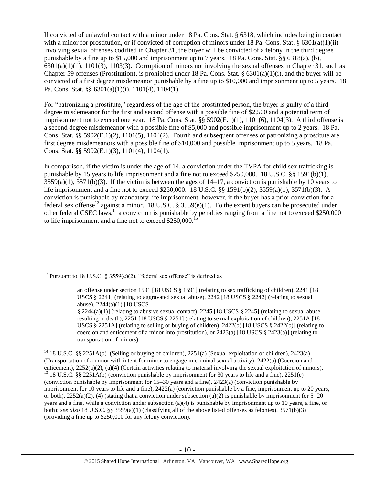If convicted of unlawful contact with a minor under 18 Pa. Cons. Stat. § 6318, which includes being in contact with a minor for prostitution, or if convicted of corruption of minors under 18 Pa. Cons. Stat.  $\S 6301(a)(1)(ii)$ involving sexual offenses codified in Chapter 31, the buyer will be convicted of a felony in the third degree punishable by a fine up to \$15,000 and imprisonment up to 7 years. 18 Pa. Cons. Stat. §§ 6318(a), (b),  $6301(a)(1)(ii)$ ,  $1101(3)$ ,  $1103(3)$ . Corruption of minors not involving the sexual offenses in Chapter 31, such as Chapter 59 offenses (Prostitution), is prohibited under 18 Pa. Cons. Stat. § 6301(a)(1)(i), and the buyer will be convicted of a first degree misdemeanor punishable by a fine up to \$10,000 and imprisonment up to 5 years. 18 Pa. Cons. Stat. §§ 6301(a)(1)(i), 1101(4), 1104(1).

For "patronizing a prostitute," regardless of the age of the prostituted person, the buyer is guilty of a third degree misdemeanor for the first and second offense with a possible fine of \$2,500 and a potential term of imprisonment not to exceed one year. 18 Pa. Cons. Stat. §§ 5902(E.1)(1), 1101(6), 1104(3). A third offense is a second degree misdemeanor with a possible fine of \$5,000 and possible imprisonment up to 2 years. 18 Pa. Cons. Stat. §§ 5902(E.1)(2), 1101(5), 1104(2). Fourth and subsequent offenses of patronizing a prostitute are first degree misdemeanors with a possible fine of \$10,000 and possible imprisonment up to 5 years. 18 Pa. Cons. Stat. §§ 5902(E.1)(3), 1101(4), 1104(1).

<span id="page-9-0"></span>In comparison, if the victim is under the age of 14, a conviction under the TVPA for child sex trafficking is punishable by 15 years to life imprisonment and a fine not to exceed \$250,000. 18 U.S.C. §§ 1591(b)(1), 3559(a)(1), 3571(b)(3). If the victim is between the ages of 14–17, a conviction is punishable by 10 years to life imprisonment and a fine not to exceed \$250,000. 18 U.S.C. §§ 1591(b)(2), 3559(a)(1), 3571(b)(3). A conviction is punishable by mandatory life imprisonment, however, if the buyer has a prior conviction for a federal sex offense<sup>13</sup> against a minor. 18 U.S.C. § 3559(e)(1). To the extent buyers can be prosecuted under other federal CSEC laws, <sup>14</sup> a conviction is punishable by penalties ranging from a fine not to exceed \$250,000 to life imprisonment and a fine not to exceed \$250,000.<sup>15</sup>

 $\overline{a}$ 

§ 2244(a)(1)] (relating to abusive sexual contact), 2245 [18 USCS § 2245] (relating to sexual abuse resulting in death), 2251 [18 USCS § 2251] (relating to sexual exploitation of children), 2251A [18 USCS § 2251A] (relating to selling or buying of children), 2422(b) [18 USCS § 2422(b)] (relating to coercion and enticement of a minor into prostitution), or  $2423(a)$  [18 USCS §  $2423(a)$ ] (relating to transportation of minors).

<sup>14</sup> 18 U.S.C. §§ 2251A(b) (Selling or buying of children), 2251(a) (Sexual exploitation of children), 2423(a) (Transportation of a minor with intent for minor to engage in criminal sexual activity), 2422(a) (Coercion and enticement), 2252(a)(2), (a)(4) (Certain activities relating to material involving the sexual exploitation of minors). <sup>15</sup> 18 U.S.C. §§ 2251A(b) (conviction punishable by imprisonment for 30 years to life and a fine), 2251(e) (conviction punishable by imprisonment for 15–30 years and a fine), 2423(a) (conviction punishable by imprisonment for 10 years to life and a fine), 2422(a) (conviction punishable by a fine, imprisonment up to 20 years, or both),  $2252(a)(2)$ , (4) (stating that a conviction under subsection (a)(2) is punishable by imprisonment for  $5-20$ years and a fine, while a conviction under subsection (a)(4) is punishable by imprisonment up to 10 years, a fine, or both); *see also* 18 U.S.C. §§ 3559(a)(1) (classifying all of the above listed offenses as felonies), 3571(b)(3) (providing a fine up to \$250,000 for any felony conviction).

<sup>&</sup>lt;sup>13</sup> Pursuant to 18 U.S.C. § 3559(e)(2), "federal sex offense" is defined as

an offense under section 1591 [18 USCS § 1591] (relating to sex trafficking of children), 2241 [18 USCS § 2241] (relating to aggravated sexual abuse), 2242 [18 USCS § 2242] (relating to sexual abuse), 2244(a)(1) [18 USCS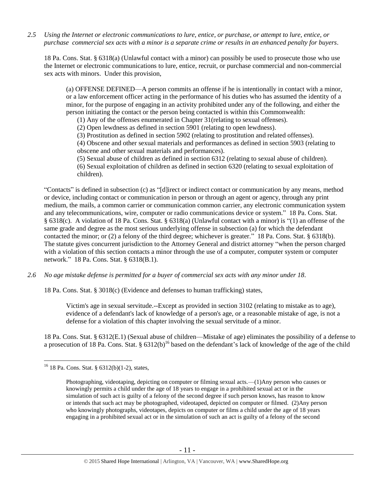*2.5 Using the Internet or electronic communications to lure, entice, or purchase, or attempt to lure, entice, or purchase commercial sex acts with a minor is a separate crime or results in an enhanced penalty for buyers.*

18 Pa. Cons. Stat. § 6318(a) (Unlawful contact with a minor) can possibly be used to prosecute those who use the Internet or electronic communications to lure, entice, recruit, or purchase commercial and non-commercial sex acts with minors. Under this provision,

(a) OFFENSE DEFINED—A person commits an offense if he is intentionally in contact with a minor, or a law enforcement officer acting in the performance of his duties who has assumed the identity of a minor, for the purpose of engaging in an activity prohibited under any of the following, and either the person initiating the contact or the person being contacted is within this Commonwealth:

(1) Any of the offenses enumerated in Chapter 31(relating to sexual offenses).

(2) Open lewdness as defined in section 5901 (relating to open lewdness).

(3) Prostitution as defined in section 5902 (relating to prostitution and related offenses).

(4) Obscene and other sexual materials and performances as defined in section 5903 (relating to obscene and other sexual materials and performances).

(5) Sexual abuse of children as defined in section 6312 (relating to sexual abuse of children).

(6) Sexual exploitation of children as defined in section 6320 (relating to sexual exploitation of children).

"Contacts" is defined in subsection (c) as "[d]irect or indirect contact or communication by any means, method or device, including contact or communication in person or through an agent or agency, through any print medium, the mails, a common carrier or communication common carrier, any electronic communication system and any telecommunications, wire, computer or radio communications device or system." 18 Pa. Cons. Stat. § 6318(c). A violation of 18 Pa. Cons. Stat. § 6318(a) (Unlawful contact with a minor) is "(1) an offense of the same grade and degree as the most serious underlying offense in subsection (a) for which the defendant contacted the minor; or (2) a felony of the third degree; whichever is greater." 18 Pa. Cons. Stat. § 6318(b). The statute gives concurrent jurisdiction to the Attorney General and district attorney "when the person charged with a violation of this section contacts a minor through the use of a computer, computer system or computer network." 18 Pa. Cons. Stat. § 6318(B.1).

*2.6 No age mistake defense is permitted for a buyer of commercial sex acts with any minor under 18.*

18 Pa. Cons. Stat. § 3018(c) (Evidence and defenses to human trafficking) states,

Victim's age in sexual servitude.--Except as provided in section 3102 (relating to mistake as to age), evidence of a defendant's lack of knowledge of a person's age, or a reasonable mistake of age, is not a defense for a violation of this chapter involving the sexual servitude of a minor.

18 Pa. Cons. Stat. § 6312(E.1) (Sexual abuse of children—Mistake of age) eliminates the possibility of a defense to a prosecution of 18 Pa. Cons. Stat. §  $6312(b)^{16}$  based on the defendant's lack of knowledge of the age of the child

 $16$  18 Pa. Cons. Stat. § 6312(b)(1-2), states,

Photographing, videotaping, depicting on computer or filming sexual acts.—(1)Any person who causes or knowingly permits a child under the age of 18 years to engage in a prohibited sexual act or in the simulation of such act is guilty of a felony of the second degree if such person knows, has reason to know or intends that such act may be photographed, videotaped, depicted on computer or filmed. (2)Any person who knowingly photographs, videotapes, depicts on computer or films a child under the age of 18 years engaging in a prohibited sexual act or in the simulation of such an act is guilty of a felony of the second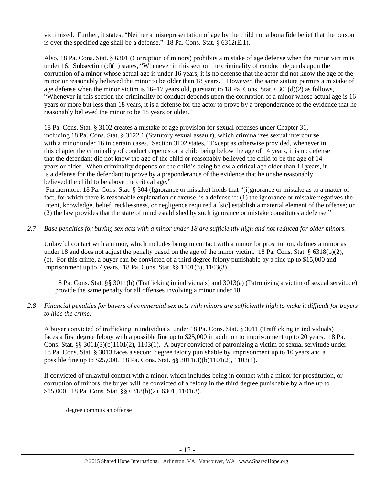victimized. Further, it states, "Neither a misrepresentation of age by the child nor a bona fide belief that the person is over the specified age shall be a defense." 18 Pa. Cons. Stat. § 6312(E.1).

Also, 18 Pa. Cons. Stat. § 6301 (Corruption of minors) prohibits a mistake of age defense when the minor victim is under 16. Subsection  $(d)(1)$  states, "Whenever in this section the criminality of conduct depends upon the corruption of a minor whose actual age is under 16 years, it is no defense that the actor did not know the age of the minor or reasonably believed the minor to be older than 18 years." However, the same statute permits a mistake of age defense when the minor victim is 16–17 years old, pursuant to 18 Pa. Cons. Stat. 6301(d)(2) as follows, "Whenever in this section the criminality of conduct depends upon the corruption of a minor whose actual age is 16 years or more but less than 18 years, it is a defense for the actor to prove by a preponderance of the evidence that he reasonably believed the minor to be 18 years or older."

18 Pa. Cons. Stat. § 3102 creates a mistake of age provision for sexual offenses under Chapter 31, including 18 Pa. Cons. Stat. § 3122.1 (Statutory sexual assault), which criminalizes sexual intercourse with a minor under 16 in certain cases. Section 3102 states, "Except as otherwise provided, whenever in this chapter the criminality of conduct depends on a child being below the age of 14 years, it is no defense that the defendant did not know the age of the child or reasonably believed the child to be the age of 14 years or older. When criminality depends on the child's being below a critical age older than 14 years, it is a defense for the defendant to prove by a preponderance of the evidence that he or she reasonably believed the child to be above the critical age."

Furthermore, 18 Pa. Cons. Stat. § 304 (Ignorance or mistake) holds that "[i]gnorance or mistake as to a matter of fact, for which there is reasonable explanation or excuse, is a defense if: (1) the ignorance or mistake negatives the intent, knowledge, belief, recklessness, or negligence required a [sic] establish a material element of the offense; or (2) the law provides that the state of mind established by such ignorance or mistake constitutes a defense."

*2.7 Base penalties for buying sex acts with a minor under 18 are sufficiently high and not reduced for older minors.*

Unlawful contact with a minor, which includes being in contact with a minor for prostitution, defines a minor as under 18 and does not adjust the penalty based on the age of the minor victim. 18 Pa. Cons. Stat. § 6318(b)(2), (c). For this crime, a buyer can be convicted of a third degree felony punishable by a fine up to \$15,000 and imprisonment up to 7 years. 18 Pa. Cons. Stat. §§ 1101(3), 1103(3).

18 Pa. Cons. Stat. §§ 3011(b) (Trafficking in individuals) and 3013(a) (Patronizing a victim of sexual servitude) provide the same penalty for all offenses involving a minor under 18.

## *2.8 Financial penalties for buyers of commercial sex acts with minors are sufficiently high to make it difficult for buyers to hide the crime.*

A buyer convicted of trafficking in individuals under 18 Pa. Cons. Stat. § 3011 (Trafficking in individuals) faces a first degree felony with a possible fine up to \$25,000 in addition to imprisonment up to 20 years. 18 Pa. Cons. Stat. §§ 3011(3)(b)1101(2), 1103(1). A buyer convicted of patronizing a victim of sexual servitude under 18 Pa. Cons. Stat. § 3013 faces a second degree felony punishable by imprisonment up to 10 years and a possible fine up to \$25,000. 18 Pa. Cons. Stat. §§ 3011(3)(b)1101(2), 1103(1).

If convicted of unlawful contact with a minor, which includes being in contact with a minor for prostitution, or corruption of minors, the buyer will be convicted of a felony in the third degree punishable by a fine up to \$15,000. 18 Pa. Cons. Stat. §§ 6318(b)(2), 6301, 1101(3).

degree commits an offense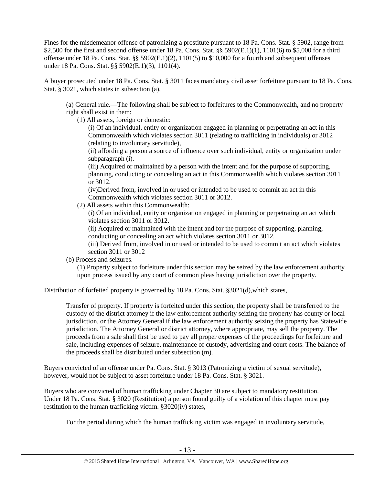Fines for the misdemeanor offense of patronizing a prostitute pursuant to 18 Pa. Cons. Stat. § 5902, range from \$2,500 for the first and second offense under 18 Pa. Cons. Stat. §§ 5902(E.1)(1), 1101(6) to \$5,000 for a third offense under 18 Pa. Cons. Stat. §§ 5902(E.1)(2), 1101(5) to \$10,000 for a fourth and subsequent offenses under 18 Pa. Cons. Stat. §§ 5902(E.1)(3), 1101(4).

A buyer prosecuted under 18 Pa. Cons. Stat. § 3011 faces mandatory civil asset forfeiture pursuant to 18 Pa. Cons. Stat. § 3021, which states in subsection (a),

(a) General rule.—The following shall be subject to forfeitures to the Commonwealth, and no property right shall exist in them:

(1) All assets, foreign or domestic:

(i) Of an individual, entity or organization engaged in planning or perpetrating an act in this Commonwealth which violates section 3011 (relating to trafficking in individuals) or 3012 (relating to involuntary servitude),

(ii) affording a person a source of influence over such individual, entity or organization under subparagraph (i).

(iii) Acquired or maintained by a person with the intent and for the purpose of supporting, planning, conducting or concealing an act in this Commonwealth which violates section 3011 or 3012.

(iv)Derived from, involved in or used or intended to be used to commit an act in this Commonwealth which violates section 3011 or 3012.

(2) All assets within this Commonwealth:

(i) Of an individual, entity or organization engaged in planning or perpetrating an act which violates section 3011 or 3012.

(ii) Acquired or maintained with the intent and for the purpose of supporting, planning, conducting or concealing an act which violates section 3011 or 3012.

(iii) Derived from, involved in or used or intended to be used to commit an act which violates section 3011 or 3012

(b) Process and seizures.

(1) Property subject to forfeiture under this section may be seized by the law enforcement authority upon process issued by any court of common pleas having jurisdiction over the property.

Distribution of forfeited property is governed by 18 Pa. Cons. Stat. §3021(d),which states,

Transfer of property. If property is forfeited under this section, the property shall be transferred to the custody of the district attorney if the law enforcement authority seizing the property has county or local jurisdiction, or the Attorney General if the law enforcement authority seizing the property has Statewide jurisdiction. The Attorney General or district attorney, where appropriate, may sell the property. The proceeds from a sale shall first be used to pay all proper expenses of the proceedings for forfeiture and sale, including expenses of seizure, maintenance of custody, advertising and court costs. The balance of the proceeds shall be distributed under subsection (m).

Buyers convicted of an offense under Pa. Cons. Stat. § 3013 (Patronizing a victim of sexual servitude), however, would not be subject to asset forfeiture under 18 Pa. Cons. Stat. § 3021.

Buyers who are convicted of human trafficking under Chapter 30 are subject to mandatory restitution. Under 18 Pa. Cons. Stat. § 3020 (Restitution) a person found guilty of a violation of this chapter must pay restitution to the human trafficking victim. §3020(iv) states,

For the period during which the human trafficking victim was engaged in involuntary servitude,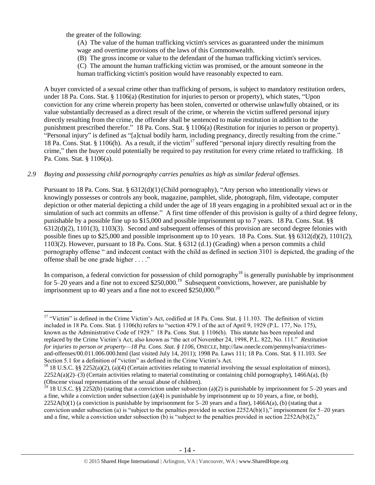the greater of the following:

 $\overline{a}$ 

(A) The value of the human trafficking victim's services as guaranteed under the minimum wage and overtime provisions of the laws of this Commonwealth.

(B) The gross income or value to the defendant of the human trafficking victim's services.

(C) The amount the human trafficking victim was promised, or the amount someone in the

human trafficking victim's position would have reasonably expected to earn.

A buyer convicted of a sexual crime other than trafficking of persons, is subject to mandatory restitution orders, under 18 Pa. Cons. Stat. § 1106(a) (Restitution for injuries to person or property), which states, "Upon conviction for any crime wherein property has been stolen, converted or otherwise unlawfully obtained, or its value substantially decreased as a direct result of the crime, or wherein the victim suffered personal injury directly resulting from the crime, the offender shall be sentenced to make restitution in addition to the punishment prescribed therefor." 18 Pa. Cons. Stat. § 1106(a) (Restitution for injuries to person or property). "Personal injury" is defined as "[a]ctual bodily harm, including pregnancy, directly resulting from the crime." 18 Pa. Cons. Stat. § 1106(h). As a result, if the victim<sup>17</sup> suffered "personal injury directly resulting from the crime," then the buyer could potentially be required to pay restitution for every crime related to trafficking. 18 Pa. Cons. Stat. § 1106(a).

## *2.9 Buying and possessing child pornography carries penalties as high as similar federal offenses.*

Pursuant to 18 Pa. Cons. Stat. § 6312(d)(1)(Child pornography), "Any person who intentionally views or knowingly possesses or controls any book, magazine, pamphlet, slide, photograph, film, videotape, computer depiction or other material depicting a child under the age of 18 years engaging in a prohibited sexual act or in the simulation of such act commits an offense." A first time offender of this provision is guilty of a third degree felony, punishable by a possible fine up to \$15,000 and possible imprisonment up to 7 years. 18 Pa. Cons. Stat. §§ 6312(d)(2), 1101(3), 1103(3). Second and subsequent offenses of this provision are second degree felonies with possible fines up to \$25,000 and possible imprisonment up to 10 years. 18 Pa. Cons. Stat. §§ 6312(d)(2), 1101(2), 1103(2). However, pursuant to 18 Pa. Cons. Stat. § 6312 (d.1) (Grading) when a person commits a child pornography offense " and indecent contact with the child as defined in section 3101 is depicted, the grading of the offense shall be one grade higher . . . ."

In comparison, a federal conviction for possession of child pornography<sup>18</sup> is generally punishable by imprisonment for 5–20 years and a fine not to exceed  $$250,000$ .<sup>19</sup> Subsequent convictions, however, are punishable by imprisonment up to 40 years and a fine not to exceed  $$250,000.<sup>20</sup>$ 

<sup>&</sup>lt;sup>17</sup> "Victim" is defined in the Crime Victim's Act, codified at 18 Pa. Cons. Stat. § 11.103. The definition of victim included in 18 Pa. Cons. Stat. § 1106(h) refers to "section 479.1 of the act of April 9, 1929 (P.L. 177, No. 175), known as the Administrative Code of 1929." 18 Pa. Cons. Stat. § 1106(h). This statute has been repealed and replaced by the Crime Victim's Act, also known as "the act of November 24, 1998, P.L. 822, No. 111." *Restitution for injuries to person or property—18 Pa. Cons. Stat. § 1106*, ONECLE, http://law.onecle.com/pennsylvania/crimesand-offenses/00.011.006.000.html (last visited July 14, 2011); 1998 Pa. Laws 111; 18 Pa. Cons. Stat. § 11.103. *See* Section 5.1 for a definition of "victim" as defined in the Crime Victim's Act.

<sup>&</sup>lt;sup>18</sup> 18 U.S.C. §§ 2252(a)(2), (a)(4) (Certain activities relating to material involving the sexual exploitation of minors),  $2252A(a)(2)$ –(3) (Certain activities relating to material constituting or containing child pornography), 1466A(a), (b) (Obscene visual representations of the sexual abuse of children).

<sup>&</sup>lt;sup>19</sup> 18 U.S.C. §§ 2252(b) (stating that a conviction under subsection (a)(2) is punishable by imprisonment for 5–20 years and a fine, while a conviction under subsection  $(a)(4)$  is punishable by imprisonment up to 10 years, a fine, or both),  $2252A(b)(1)$  (a conviction is punishable by imprisonment for  $5-20$  years and a fine),  $1466A(a)$ , (b) (stating that a conviction under subsection (a) is "subject to the penalties provided in section  $2252A(b)(1)$ ," imprisonment for  $5-20$  years and a fine, while a conviction under subsection (b) is "subject to the penalties provided in section  $2252A(b)(2)$ ,"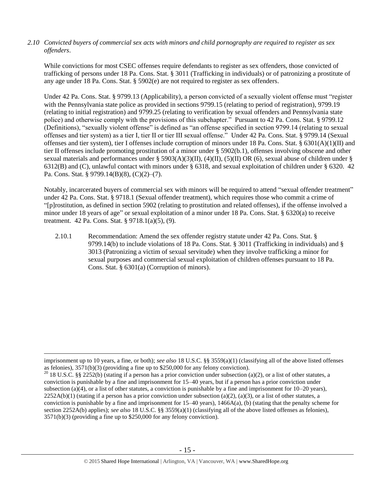## *2.10 Convicted buyers of commercial sex acts with minors and child pornography are required to register as sex offenders*.

While convictions for most CSEC offenses require defendants to register as sex offenders, those convicted of trafficking of persons under 18 Pa. Cons. Stat. § 3011 (Trafficking in individuals) or of patronizing a prostitute of any age under 18 Pa. Cons. Stat. § 5902(e) are not required to register as sex offenders.

Under 42 Pa. Cons. Stat. § 9799.13 (Applicability), a person convicted of a sexually violent offense must "register with the Pennsylvania state police as provided in sections 9799.15 (relating to period of registration), 9799.19 (relating to initial registration) and 9799.25 (relating to verification by sexual offenders and Pennsylvania state police) and otherwise comply with the provisions of this subchapter." Pursuant to 42 Pa. Cons. Stat. § 9799.12 (Definitions), "sexually violent offense" is defined as "an offense specified in section 9799.14 (relating to sexual offenses and tier system) as a tier I, tier II or tier III sexual offense." Under 42 Pa. Cons. Stat. § 9799.14 (Sexual offenses and tier system), tier I offenses include corruption of minors under 18 Pa. Cons. Stat. § 6301(A)(1)(II) and tier II offenses include promoting prostitution of a minor under § 5902(b.1), offenses involving obscene and other sexual materials and performances under § 5903(A)(3)(II), (4)(II), (5)(II) OR (6), sexual abuse of children under § 6312(B) and (C), unlawful contact with minors under § 6318, and sexual exploitation of children under § 6320. 42 Pa. Cons. Stat. § 9799.14(B)(8), (C)(2)–(7).

Notably, incarcerated buyers of commercial sex with minors will be required to attend "sexual offender treatment" under 42 Pa. Cons. Stat. § 9718.1 (Sexual offender treatment), which requires those who commit a crime of "[p]rostitution, as defined in section 5902 (relating to prostitution and related offenses), if the offense involved a minor under 18 years of age" or sexual exploitation of a minor under 18 Pa. Cons. Stat. § 6320(a) to receive treatment. 42 Pa. Cons. Stat. § 9718.1(a)(5), (9).

2.10.1 Recommendation: Amend the sex offender registry statute under 42 Pa. Cons. Stat. § 9799.14(b) to include violations of 18 Pa. Cons. Stat. § 3011 (Trafficking in individuals) and § 3013 (Patronizing a victim of sexual servitude) when they involve trafficking a minor for sexual purposes and commercial sexual exploitation of children offenses pursuant to 18 Pa. Cons. Stat. § 6301(a) (Corruption of minors).

imprisonment up to 10 years, a fine, or both); *see also* 18 U.S.C. §§ 3559(a)(1) (classifying all of the above listed offenses as felonies), 3571(b)(3) (providing a fine up to \$250,000 for any felony conviction).

<sup>&</sup>lt;sup>20</sup> 18 U.S.C. §§ 2252(b) (stating if a person has a prior conviction under subsection (a)(2), or a list of other statutes, a conviction is punishable by a fine and imprisonment for 15–40 years, but if a person has a prior conviction under subsection (a)(4), or a list of other statutes, a conviction is punishable by a fine and imprisonment for  $10-20$  years),  $2252A(b)(1)$  (stating if a person has a prior conviction under subsection (a)(2), (a)(3), or a list of other statutes, a conviction is punishable by a fine and imprisonment for  $15-40$  years),  $1466A(a)$ , (b) (stating that the penalty scheme for section 2252A(b) applies); *see also* 18 U.S.C. §§ 3559(a)(1) (classifying all of the above listed offenses as felonies), 3571(b)(3) (providing a fine up to \$250,000 for any felony conviction).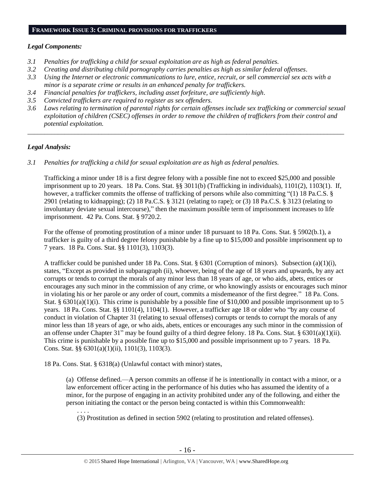## **FRAMEWORK ISSUE 3: CRIMINAL PROVISIONS FOR TRAFFICKERS**

## *Legal Components:*

- *3.1 Penalties for trafficking a child for sexual exploitation are as high as federal penalties.*
- *3.2 Creating and distributing child pornography carries penalties as high as similar federal offenses*.
- *3.3 Using the Internet or electronic communications to lure, entice, recruit, or sell commercial sex acts with a minor is a separate crime or results in an enhanced penalty for traffickers.*
- *3.4 Financial penalties for traffickers, including asset forfeiture, are sufficiently high*.
- *3.5 Convicted traffickers are required to register as sex offenders.*
- *3.6 Laws relating to termination of parental rights for certain offenses include sex trafficking or commercial sexual exploitation of children (CSEC) offenses in order to remove the children of traffickers from their control and potential exploitation.*

*\_\_\_\_\_\_\_\_\_\_\_\_\_\_\_\_\_\_\_\_\_\_\_\_\_\_\_\_\_\_\_\_\_\_\_\_\_\_\_\_\_\_\_\_\_\_\_\_\_\_\_\_\_\_\_\_\_\_\_\_\_\_\_\_\_\_\_\_\_\_\_\_\_\_\_\_\_\_\_\_\_\_\_\_\_\_\_\_\_\_\_\_\_\_*

## *Legal Analysis:*

*3.1 Penalties for trafficking a child for sexual exploitation are as high as federal penalties.*

Trafficking a minor under 18 is a first degree felony with a possible fine not to exceed \$25,000 and possible imprisonment up to 20 years. 18 Pa. Cons. Stat. §§ 3011(b) (Trafficking in individuals), 1101(2), 1103(1). If, however, a trafficker commits the offense of trafficking of persons while also committing "(1) 18 Pa.C.S. § 2901 (relating to kidnapping); (2) 18 Pa.C.S. § 3121 (relating to rape); or (3) 18 Pa.C.S. § 3123 (relating to involuntary deviate sexual intercourse)," then the maximum possible term of imprisonment increases to life imprisonment. 42 Pa. Cons. Stat. § 9720.2.

For the offense of promoting prostitution of a minor under 18 pursuant to 18 Pa. Cons. Stat. § 5902(b.1), a trafficker is guilty of a third degree felony punishable by a fine up to \$15,000 and possible imprisonment up to 7 years. 18 Pa. Cons. Stat. §§ 1101(3), 1103(3).

A trafficker could be punished under 18 Pa. Cons. Stat. § 6301 (Corruption of minors). Subsection (a)(1)(i), states, "Except as provided in subparagraph (ii), whoever, being of the age of 18 years and upwards, by any act corrupts or tends to corrupt the morals of any minor less than 18 years of age, or who aids, abets, entices or encourages any such minor in the commission of any crime, or who knowingly assists or encourages such minor in violating his or her parole or any order of court, commits a misdemeanor of the first degree." 18 Pa. Cons. Stat. §  $6301(a)(1)(i)$ . This crime is punishable by a possible fine of \$10,000 and possible imprisonment up to 5 years. 18 Pa. Cons. Stat. §§ 1101(4), 1104(1). However, a trafficker age 18 or older who "by any course of conduct in violation of Chapter 31 (relating to sexual offenses) corrupts or tends to corrupt the morals of any minor less than 18 years of age, or who aids, abets, entices or encourages any such minor in the commission of an offense under Chapter 31" may be found guilty of a third degree felony. 18 Pa. Cons. Stat. §  $6301(a)(1)(ii)$ . This crime is punishable by a possible fine up to \$15,000 and possible imprisonment up to 7 years. 18 Pa. Cons. Stat. §§ 6301(a)(1)(ii), 1101(3), 1103(3).

18 Pa. Cons. Stat. § 6318(a) (Unlawful contact with minor) states,

(a) Offense defined.—A person commits an offense if he is intentionally in contact with a minor, or a law enforcement officer acting in the performance of his duties who has assumed the identity of a minor, for the purpose of engaging in an activity prohibited under any of the following, and either the person initiating the contact or the person being contacted is within this Commonwealth:

. . . .

(3) Prostitution as defined in section 5902 (relating to prostitution and related offenses).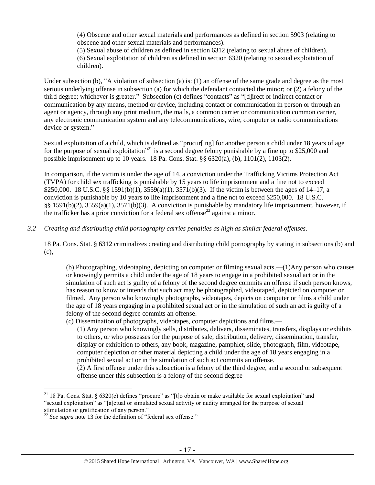(4) Obscene and other sexual materials and performances as defined in section 5903 (relating to obscene and other sexual materials and performances).

(5) Sexual abuse of children as defined in section 6312 (relating to sexual abuse of children). (6) Sexual exploitation of children as defined in section 6320 (relating to sexual exploitation of children).

Under subsection (b), "A violation of subsection (a) is: (1) an offense of the same grade and degree as the most serious underlying offense in subsection (a) for which the defendant contacted the minor; or (2) a felony of the third degree; whichever is greater." Subsection (c) defines "contacts" as "[d]irect or indirect contact or communication by any means, method or device, including contact or communication in person or through an agent or agency, through any print medium, the mails, a common carrier or communication common carrier, any electronic communication system and any telecommunications, wire, computer or radio communications device or system."

Sexual exploitation of a child, which is defined as "procur[ing] for another person a child under 18 years of age for the purpose of sexual exploitation<sup> $21$ </sup> is a second degree felony punishable by a fine up to \$25,000 and possible imprisonment up to 10 years. 18 Pa. Cons. Stat.  $\S$ § 6320(a), (b), 1101(2), 1103(2).

In comparison, if the victim is under the age of 14, a conviction under the Trafficking Victims Protection Act (TVPA) for child sex trafficking is punishable by 15 years to life imprisonment and a fine not to exceed \$250,000. 18 U.S.C. §§ 1591(b)(1), 3559(a)(1), 3571(b)(3). If the victim is between the ages of 14–17, a conviction is punishable by 10 years to life imprisonment and a fine not to exceed \$250,000. 18 U.S.C. §§ 1591(b)(2), 3559(a)(1), 3571(b)(3). A conviction is punishable by mandatory life imprisonment, however, if the trafficker has a prior conviction for a federal sex offense<sup>22</sup> against a minor.

*3.2 Creating and distributing child pornography carries penalties as high as similar federal offenses*.

18 Pa. Cons. Stat. § 6312 criminalizes creating and distributing child pornography by stating in subsections (b) and (c),

(b) Photographing, videotaping, depicting on computer or filming sexual acts.—(1)Any person who causes or knowingly permits a child under the age of 18 years to engage in a prohibited sexual act or in the simulation of such act is guilty of a felony of the second degree commits an offense if such person knows, has reason to know or intends that such act may be photographed, videotaped, depicted on computer or filmed. Any person who knowingly photographs, videotapes, depicts on computer or films a child under the age of 18 years engaging in a prohibited sexual act or in the simulation of such an act is guilty of a felony of the second degree commits an offense.

- (c) Dissemination of photographs, videotapes, computer depictions and films.—
	- (1) Any person who knowingly sells, distributes, delivers, disseminates, transfers, displays or exhibits to others, or who possesses for the purpose of sale, distribution, delivery, dissemination, transfer, display or exhibition to others, any book, magazine, pamphlet, slide, photograph, film, videotape, computer depiction or other material depicting a child under the age of 18 years engaging in a prohibited sexual act or in the simulation of such act commits an offense.

(2) A first offense under this subsection is a felony of the third degree, and a second or subsequent offense under this subsection is a felony of the second degree

<sup>&</sup>lt;sup>21</sup> 18 Pa. Cons. Stat. § 6320(c) defines "procure" as "[t]o obtain or make available for sexual exploitation" and "sexual exploitation" as "[a]ctual or simulated sexual activity or nudity arranged for the purpose of sexual stimulation or gratification of any person."

<sup>&</sup>lt;sup>22</sup> See supra note [13](#page-9-0) for the definition of "federal sex offense."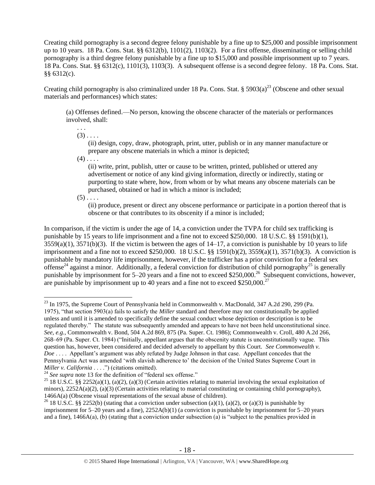Creating child pornography is a second degree felony punishable by a fine up to \$25,000 and possible imprisonment up to 10 years. 18 Pa. Cons. Stat. §§  $6312(b)$ ,  $1101(2)$ ,  $1103(2)$ . For a first offense, disseminating or selling child pornography is a third degree felony punishable by a fine up to \$15,000 and possible imprisonment up to 7 years. 18 Pa. Cons. Stat. §§ 6312(c), 1101(3), 1103(3). A subsequent offense is a second degree felony. 18 Pa. Cons. Stat. §§ 6312(c).

Creating child pornography is also criminalized under 18 Pa. Cons. Stat. § 5903(a)<sup>23</sup> (Obscene and other sexual materials and performances) which states:

(a) Offenses defined.—No person, knowing the obscene character of the materials or performances involved, shall:

. . .  $(3)$ ....

> <span id="page-17-0"></span>(ii) design, copy, draw, photograph, print, utter, publish or in any manner manufacture or prepare any obscene materials in which a minor is depicted;

 $(4)$ .  $\ldots$ 

(ii) write, print, publish, utter or cause to be written, printed, published or uttered any advertisement or notice of any kind giving information, directly or indirectly, stating or purporting to state where, how, from whom or by what means any obscene materials can be purchased, obtained or had in which a minor is included;

 $(5)$  . . . .

 $\overline{a}$ 

(ii) produce, present or direct any obscene performance or participate in a portion thereof that is obscene or that contributes to its obscenity if a minor is included;

In comparison, if the victim is under the age of 14, a conviction under the TVPA for child sex trafficking is punishable by 15 years to life imprisonment and a fine not to exceed \$250,000. 18 U.S.C. §§ 1591(b)(1),  $3559(a)(1)$ ,  $3571(b)(3)$ . If the victim is between the ages of  $14-17$ , a conviction is punishable by 10 years to life imprisonment and a fine not to exceed \$250,000. 18 U.S.C. §§ 1591(b)(2), 3559(a)(1), 3571(b)(3). A conviction is punishable by mandatory life imprisonment, however, if the trafficker has a prior conviction for a federal sex offense<sup>24</sup> against a minor. Additionally, a federal conviction for distribution of child pornography<sup>25</sup> is generally punishable by imprisonment for  $5-20$  years and a fine not to exceed \$250,000.<sup>26</sup> Subsequent convictions, however, are punishable by imprisonment up to 40 years and a fine not to exceed \$250,000.<sup>27</sup>

<sup>23</sup> In 1975, the Supreme Court of Pennsylvania held in Commonwealth v. MacDonald, 347 A.2d 290, 299 (Pa. 1975), "that section 5903(a) fails to satisfy the *Miller* standard and therefore may not constitutionally be applied unless and until it is amended to specifically define the sexual conduct whose depiction or description is to be regulated thereby." The statute was subsequently amended and appears to have not been held unconstitutional since. *See, e.g.*, Commonwealth v. Bond, 504 A.2d 869, 875 (Pa. Super. Ct. 1986); Commonwealth v. Croll, 480 A.2d 266, 268–69 (Pa. Super. Ct. 1984) ("Initially, appellant argues that the obscenity statute is unconstitutionally vague. This question has, however, been considered and decided adversely to appellant by this Court. *See Commonwealth v. Doe* . . . . Appellant's argument was ably refuted by Judge Johnson in that case. Appellant concedes that the Pennsylvania Act was amended 'with slavish adherence to' the decision of the United States Supreme Court in *Miller v. California* . . . .") (citations omitted).

<sup>&</sup>lt;sup>24</sup> See supra note [13](#page-9-0) for the definition of "federal sex offense."

<sup>&</sup>lt;sup>25</sup> 18 U.S.C. §§ 2252(a)(1), (a)(2), (a)(3) (Certain activities relating to material involving the sexual exploitation of minors),  $2252A(a)(2)$ , (a)(3) (Certain activities relating to material constituting or containing child pornography), 1466A(a) (Obscene visual representations of the sexual abuse of children).

<sup>&</sup>lt;sup>26</sup> 18 U.S.C. §§ 2252(b) (stating that a conviction under subsection (a)(1), (a)(2), or (a)(3) is punishable by imprisonment for  $5-20$  years and a fine),  $2252A(b)(1)$  (a conviction is punishable by imprisonment for  $5-20$  years and a fine), 1466A(a), (b) (stating that a conviction under subsection (a) is "subject to the penalties provided in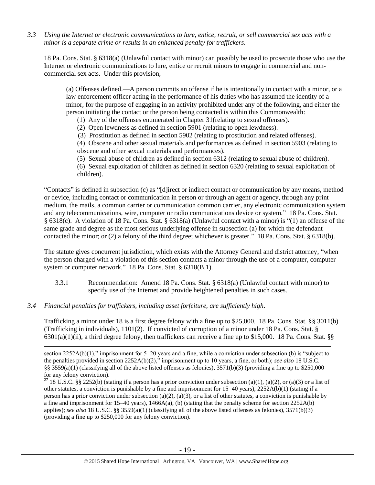*3.3 Using the Internet or electronic communications to lure, entice, recruit, or sell commercial sex acts with a minor is a separate crime or results in an enhanced penalty for traffickers.*

18 Pa. Cons. Stat. § 6318(a) (Unlawful contact with minor) can possibly be used to prosecute those who use the Internet or electronic communications to lure, entice or recruit minors to engage in commercial and noncommercial sex acts. Under this provision,

(a) Offenses defined.—A person commits an offense if he is intentionally in contact with a minor, or a law enforcement officer acting in the performance of his duties who has assumed the identity of a minor, for the purpose of engaging in an activity prohibited under any of the following, and either the person initiating the contact or the person being contacted is within this Commonwealth:

- (1) Any of the offenses enumerated in Chapter 31(relating to sexual offenses).
- (2) Open lewdness as defined in section 5901 (relating to open lewdness).
- (3) Prostitution as defined in section 5902 (relating to prostitution and related offenses).

(4) Obscene and other sexual materials and performances as defined in section 5903 (relating to obscene and other sexual materials and performances).

(5) Sexual abuse of children as defined in section 6312 (relating to sexual abuse of children).

(6) Sexual exploitation of children as defined in section 6320 (relating to sexual exploitation of children).

"Contacts" is defined in subsection (c) as "[d]irect or indirect contact or communication by any means, method or device, including contact or communication in person or through an agent or agency, through any print medium, the mails, a common carrier or communication common carrier, any electronic communication system and any telecommunications, wire, computer or radio communications device or system." 18 Pa. Cons. Stat. § 6318(c). A violation of 18 Pa. Cons. Stat. § 6318(a) (Unlawful contact with a minor) is "(1) an offense of the same grade and degree as the most serious underlying offense in subsection (a) for which the defendant contacted the minor; or (2) a felony of the third degree; whichever is greater." 18 Pa. Cons. Stat. § 6318(b).

The statute gives concurrent jurisdiction, which exists with the Attorney General and district attorney, "when the person charged with a violation of this section contacts a minor through the use of a computer, computer system or computer network." 18 Pa. Cons. Stat. § 6318(B.1).

- 3.3.1 Recommendation: Amend 18 Pa. Cons. Stat. § 6318(a) (Unlawful contact with minor) to specify use of the Internet and provide heightened penalties in such cases.
- *3.4 Financial penalties for traffickers, including asset forfeiture, are sufficiently high*.

 $\overline{a}$ 

Trafficking a minor under 18 is a first degree felony with a fine up to \$25,000. 18 Pa. Cons. Stat. §§ 3011(b) (Trafficking in individuals), 1101(2). If convicted of corruption of a minor under 18 Pa. Cons. Stat. § 6301(a)(1)(ii), a third degree felony, then traffickers can receive a fine up to \$15,000. 18 Pa. Cons. Stat. §§

section 2252A(b)(1)," imprisonment for 5–20 years and a fine, while a conviction under subsection (b) is "subject to the penalties provided in section 2252A(b)(2)," imprisonment up to 10 years, a fine, or both); *see also* 18 U.S.C. §§ 3559(a)(1) (classifying all of the above listed offenses as felonies),  $3571(b)(3)$  (providing a fine up to \$250,000 for any felony conviction).

<sup>&</sup>lt;sup>27</sup> 18 U.S.C. §§ 2252(b) (stating if a person has a prior conviction under subsection (a)(1), (a)(2), or (a)(3) or a list of other statutes, a conviction is punishable by a fine and imprisonment for  $15-40$  years),  $2252A(b)(1)$  (stating if a person has a prior conviction under subsection (a)(2), (a)(3), or a list of other statutes, a conviction is punishable by a fine and imprisonment for  $15-40$  years),  $1466A(a)$ , (b) (stating that the penalty scheme for section  $2252A(b)$ applies); *see also* 18 U.S.C. §§ 3559(a)(1) (classifying all of the above listed offenses as felonies), 3571(b)(3) (providing a fine up to \$250,000 for any felony conviction).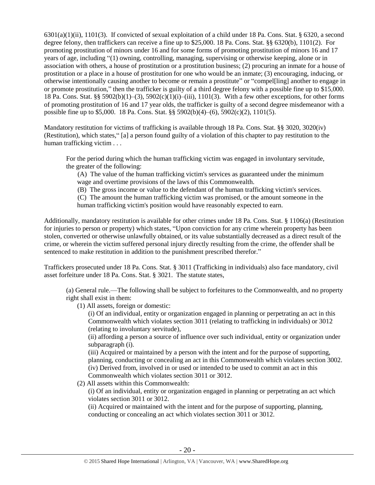$6301(a)(1)(ii)$ ,  $1101(3)$ . If convicted of sexual exploitation of a child under 18 Pa. Cons. Stat. § 6320, a second degree felony, then traffickers can receive a fine up to \$25,000. 18 Pa. Cons. Stat. §§ 6320(b), 1101(2). For promoting prostitution of minors under 16 and for some forms of promoting prostitution of minors 16 and 17 years of age, including "(1) owning, controlling, managing, supervising or otherwise keeping, alone or in association with others, a house of prostitution or a prostitution business; (2) procuring an inmate for a house of prostitution or a place in a house of prostitution for one who would be an inmate; (3) encouraging, inducing, or otherwise intentionally causing another to become or remain a prostitute" or "compel[ling] another to engage in or promote prostitution," then the trafficker is guilty of a third degree felony with a possible fine up to \$15,000. 18 Pa. Cons. Stat. §§ 5902(b)(1)–(3), 5902(c)(1)(i)–(iii), 1101(3). With a few other exceptions, for other forms of promoting prostitution of 16 and 17 year olds, the trafficker is guilty of a second degree misdemeanor with a possible fine up to \$5,000. 18 Pa. Cons. Stat. §§  $5902(b)(4)–(6)$ ,  $5902(c)(2)$ ,  $1101(5)$ .

Mandatory restitution for victims of trafficking is available through 18 Pa. Cons. Stat. §§ 3020, 3020(iv) (Restitution), which states," [a] a person found guilty of a violation of this chapter to pay restitution to the human trafficking victim . . .

For the period during which the human trafficking victim was engaged in involuntary servitude, the greater of the following:

(A) The value of the human trafficking victim's services as guaranteed under the minimum wage and overtime provisions of the laws of this Commonwealth.

(B) The gross income or value to the defendant of the human trafficking victim's services.

(C) The amount the human trafficking victim was promised, or the amount someone in the human trafficking victim's position would have reasonably expected to earn.

Additionally, mandatory restitution is available for other crimes under 18 Pa. Cons. Stat. § 1106(a) (Restitution for injuries to person or property) which states, "Upon conviction for any crime wherein property has been stolen, converted or otherwise unlawfully obtained, or its value substantially decreased as a direct result of the crime, or wherein the victim suffered personal injury directly resulting from the crime, the offender shall be sentenced to make restitution in addition to the punishment prescribed therefor."

Traffickers prosecuted under 18 Pa. Cons. Stat. § 3011 (Trafficking in individuals) also face mandatory, civil asset forfeiture under 18 Pa. Cons. Stat. § 3021. The statute states,

(a) General rule.—The following shall be subject to forfeitures to the Commonwealth, and no property right shall exist in them:

(1) All assets, foreign or domestic:

(i) Of an individual, entity or organization engaged in planning or perpetrating an act in this Commonwealth which violates section 3011 (relating to trafficking in individuals) or 3012 (relating to involuntary servitude),

(ii) affording a person a source of influence over such individual, entity or organization under subparagraph (i).

(iii) Acquired or maintained by a person with the intent and for the purpose of supporting, planning, conducting or concealing an act in this Commonwealth which violates section 3002. (iv) Derived from, involved in or used or intended to be used to commit an act in this Commonwealth which violates section 3011 or 3012.

(2) All assets within this Commonwealth:

(i) Of an individual, entity or organization engaged in planning or perpetrating an act which violates section 3011 or 3012.

(ii) Acquired or maintained with the intent and for the purpose of supporting, planning, conducting or concealing an act which violates section 3011 or 3012.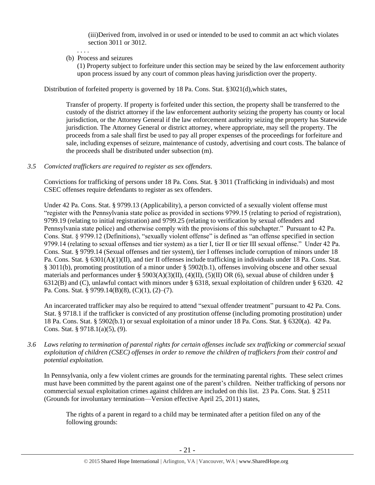(iii)Derived from, involved in or used or intended to be used to commit an act which violates section 3011 or 3012.

(b) Process and seizures

. . . .

(1) Property subject to forfeiture under this section may be seized by the law enforcement authority upon process issued by any court of common pleas having jurisdiction over the property.

Distribution of forfeited property is governed by 18 Pa. Cons. Stat. §3021(d),which states,

Transfer of property. If property is forfeited under this section, the property shall be transferred to the custody of the district attorney if the law enforcement authority seizing the property has county or local jurisdiction, or the Attorney General if the law enforcement authority seizing the property has Statewide jurisdiction. The Attorney General or district attorney, where appropriate, may sell the property. The proceeds from a sale shall first be used to pay all proper expenses of the proceedings for forfeiture and sale, including expenses of seizure, maintenance of custody, advertising and court costs. The balance of the proceeds shall be distributed under subsection (m).

*3.5 Convicted traffickers are required to register as sex offenders.*

Convictions for trafficking of persons under 18 Pa. Cons. Stat. § 3011 (Trafficking in individuals) and most CSEC offenses require defendants to register as sex offenders.

Under 42 Pa. Cons. Stat. § 9799.13 (Applicability), a person convicted of a sexually violent offense must "register with the Pennsylvania state police as provided in sections 9799.15 (relating to period of registration), 9799.19 (relating to initial registration) and 9799.25 (relating to verification by sexual offenders and Pennsylvania state police) and otherwise comply with the provisions of this subchapter." Pursuant to 42 Pa. Cons. Stat. § 9799.12 (Definitions), "sexually violent offense" is defined as "an offense specified in section 9799.14 (relating to sexual offenses and tier system) as a tier I, tier II or tier III sexual offense." Under 42 Pa. Cons. Stat. § 9799.14 (Sexual offenses and tier system), tier I offenses include corruption of minors under 18 Pa. Cons. Stat. § 6301(A)(1)(II), and tier II offenses include trafficking in individuals under 18 Pa. Cons. Stat. § 3011(b), promoting prostitution of a minor under § 5902(b.1), offenses involving obscene and other sexual materials and performances under § 5903(A)(3)(II), (4)(II), (5)(II) OR (6), sexual abuse of children under § 6312(B) and (C), unlawful contact with minors under § 6318, sexual exploitation of children under § 6320. 42 Pa. Cons. Stat. § 9799.14(B)(8), (C)(1), (2)–(7).

An incarcerated trafficker may also be required to attend "sexual offender treatment" pursuant to 42 Pa. Cons. Stat. § 9718.1 if the trafficker is convicted of any prostitution offense (including promoting prostitution) under 18 Pa. Cons. Stat. § 5902(b.1) or sexual exploitation of a minor under 18 Pa. Cons. Stat. § 6320(a). 42 Pa. Cons. Stat. § 9718.1(a)(5), (9).

*3.6 Laws relating to termination of parental rights for certain offenses include sex trafficking or commercial sexual exploitation of children (CSEC) offenses in order to remove the children of traffickers from their control and potential exploitation.* 

In Pennsylvania, only a few violent crimes are grounds for the terminating parental rights. These select crimes must have been committed by the parent against one of the parent's children. Neither trafficking of persons nor commercial sexual exploitation crimes against children are included on this list. 23 Pa. Cons. Stat. § 2511 (Grounds for involuntary termination—Version effective April 25, 2011) states,

The rights of a parent in regard to a child may be terminated after a petition filed on any of the following grounds: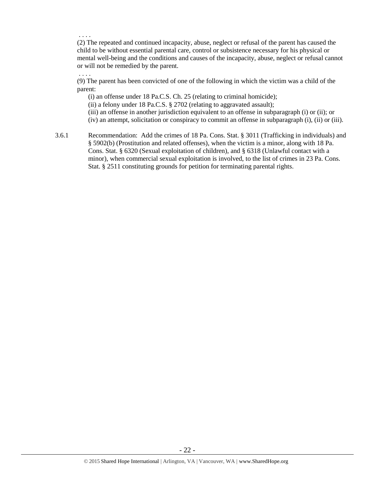. . . .

. . . .

(2) The repeated and continued incapacity, abuse, neglect or refusal of the parent has caused the child to be without essential parental care, control or subsistence necessary for his physical or mental well-being and the conditions and causes of the incapacity, abuse, neglect or refusal cannot or will not be remedied by the parent.

(9) The parent has been convicted of one of the following in which the victim was a child of the parent:

(i) an offense under 18 Pa.C.S. Ch. 25 (relating to criminal homicide);

(ii) a felony under 18 Pa.C.S.  $\S$  2702 (relating to aggravated assault);

(iii) an offense in another jurisdiction equivalent to an offense in subparagraph (i) or (ii); or

(iv) an attempt, solicitation or conspiracy to commit an offense in subparagraph (i), (ii) or (iii).

3.6.1 Recommendation: Add the crimes of 18 Pa. Cons. Stat. § 3011 (Trafficking in individuals) and § 5902(b) (Prostitution and related offenses), when the victim is a minor, along with 18 Pa. Cons. Stat. § 6320 (Sexual exploitation of children), and § 6318 (Unlawful contact with a minor), when commercial sexual exploitation is involved, to the list of crimes in 23 Pa. Cons. Stat. § 2511 constituting grounds for petition for terminating parental rights.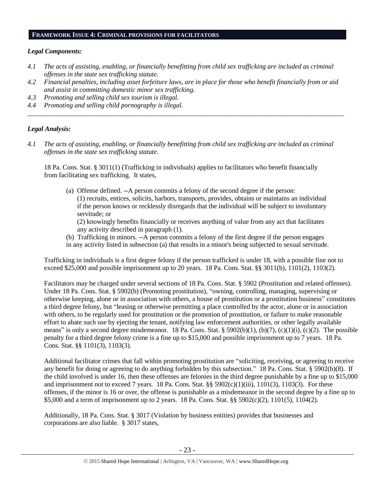### **FRAMEWORK ISSUE 4: CRIMINAL PROVISIONS FOR FACILITATORS**

## *Legal Components:*

- *4.1 The acts of assisting, enabling, or financially benefitting from child sex trafficking are included as criminal offenses in the state sex trafficking statute.*
- *4.2 Financial penalties, including asset forfeiture laws, are in place for those who benefit financially from or aid and assist in committing domestic minor sex trafficking.*

*\_\_\_\_\_\_\_\_\_\_\_\_\_\_\_\_\_\_\_\_\_\_\_\_\_\_\_\_\_\_\_\_\_\_\_\_\_\_\_\_\_\_\_\_\_\_\_\_\_\_\_\_\_\_\_\_\_\_\_\_\_\_\_\_\_\_\_\_\_\_\_\_\_\_\_\_\_\_\_\_\_\_\_\_\_\_\_\_\_\_\_\_\_\_*

- *4.3 Promoting and selling child sex tourism is illegal.*
- *4.4 Promoting and selling child pornography is illegal.*

## *Legal Analysis:*

*4.1 The acts of assisting, enabling, or financially benefitting from child sex trafficking are included as criminal offenses in the state sex trafficking statute*.

18 Pa. Cons. Stat. § 3011(1) (Trafficking in individuals) applies to facilitators who benefit financially from facilitating sex trafficking. It states,

(a) Offense defined. --A person commits a felony of the second degree if the person: (1) recruits, entices, solicits, harbors, transports, provides, obtains or maintains an individual if the person knows or recklessly disregards that the individual will be subject to involuntary servitude; or

(2) knowingly benefits financially or receives anything of value from any act that facilitates any activity described in paragraph (1).

(b) Trafficking in minors. --A person commits a felony of the first degree if the person engages in any activity listed in subsection (a) that results in a minor's being subjected to sexual servitude.

Trafficking in individuals is a first degree felony if the person trafficked is under 18, with a possible fine not to exceed \$25,000 and possible imprisonment up to 20 years. 18 Pa. Cons. Stat. §§ 3011(b), 1101(2), 1103(2).

Facilitators may be charged under several sections of 18 Pa. Cons. Stat. § 5902 (Prostitution and related offenses). Under 18 Pa. Cons. Stat. § 5902(b) (Promoting prostitution), "owning, controlling, managing, supervising or otherwise keeping, alone or in association with others, a house of prostitution or a prostitution business" constitutes a third degree felony, but "leasing or otherwise permitting a place controlled by the actor, alone or in association with others, to be regularly used for prostitution or the promotion of prostitution, or failure to make reasonable effort to abate such use by ejecting the tenant, notifying law enforcement authorities, or other legally available means" is only a second degree misdemeanor. 18 Pa. Cons. Stat. § 5902(b)(1), (b)(7), (c)(1)(i), (c)(2). The possible penalty for a third degree felony crime is a fine up to \$15,000 and possible imprisonment up to 7 years. 18 Pa. Cons. Stat. §§ 1101(3), 1103(3).

Additional facilitator crimes that fall within promoting prostitution are "soliciting, receiving, or agreeing to receive any benefit for doing or agreeing to do anything forbidden by this subsection." 18 Pa. Cons. Stat. § 5902(b)(8). If the child involved is under 16, then these offenses are felonies in the third degree punishable by a fine up to \$15,000 and imprisonment not to exceed 7 years. 18 Pa. Cons. Stat. §§ 5902(c)(1)(iii), 1101(3), 1103(3). For these offenses, if the minor is 16 or over, the offense is punishable as a misdemeanor in the second degree by a fine up to \$5,000 and a term of imprisonment up to 2 years. 18 Pa. Cons. Stat. §§ 5902(c)(2), 1101(5), 1104(2).

Additionally, 18 Pa. Cons. Stat. § 3017 (Violation by business entities) provides that businesses and corporations are also liable. § 3017 states,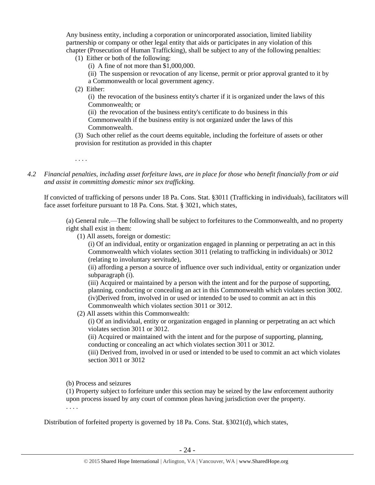Any business entity, including a corporation or unincorporated association, limited liability partnership or company or other legal entity that aids or participates in any violation of this chapter (Prosecution of Human Trafficking), shall be subject to any of the following penalties:

- (1) Either or both of the following:
	- (i) A fine of not more than \$1,000,000.

(ii) The suspension or revocation of any license, permit or prior approval granted to it by a Commonwealth or local government agency.

(2) Either:

(i) the revocation of the business entity's charter if it is organized under the laws of this Commonwealth; or

(ii) the revocation of the business entity's certificate to do business in this

Commonwealth if the business entity is not organized under the laws of this Commonwealth.

(3) Such other relief as the court deems equitable, including the forfeiture of assets or other provision for restitution as provided in this chapter

. . . .

*4.2 Financial penalties, including asset forfeiture laws, are in place for those who benefit financially from or aid and assist in committing domestic minor sex trafficking.*

If convicted of trafficking of persons under 18 Pa. Cons. Stat. §3011 (Trafficking in individuals), facilitators will face asset forfeiture pursuant to 18 Pa. Cons. Stat. § 3021, which states,

(a) General rule.—The following shall be subject to forfeitures to the Commonwealth, and no property right shall exist in them:

(1) All assets, foreign or domestic:

(i) Of an individual, entity or organization engaged in planning or perpetrating an act in this Commonwealth which violates section 3011 (relating to trafficking in individuals) or 3012 (relating to involuntary servitude),

(ii) affording a person a source of influence over such individual, entity or organization under subparagraph (i).

(iii) Acquired or maintained by a person with the intent and for the purpose of supporting, planning, conducting or concealing an act in this Commonwealth which violates section 3002. (iv)Derived from, involved in or used or intended to be used to commit an act in this Commonwealth which violates section 3011 or 3012.

(2) All assets within this Commonwealth:

(i) Of an individual, entity or organization engaged in planning or perpetrating an act which violates section 3011 or 3012.

(ii) Acquired or maintained with the intent and for the purpose of supporting, planning, conducting or concealing an act which violates section 3011 or 3012.

(iii) Derived from, involved in or used or intended to be used to commit an act which violates section 3011 or 3012

(b) Process and seizures

(1) Property subject to forfeiture under this section may be seized by the law enforcement authority upon process issued by any court of common pleas having jurisdiction over the property.

. . . .

Distribution of forfeited property is governed by 18 Pa. Cons. Stat. §3021(d), which states,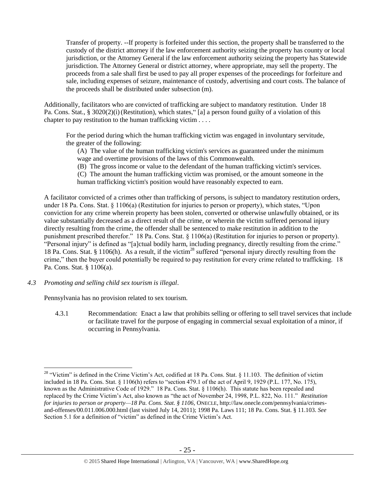Transfer of property. --If property is forfeited under this section, the property shall be transferred to the custody of the district attorney if the law enforcement authority seizing the property has county or local jurisdiction, or the Attorney General if the law enforcement authority seizing the property has Statewide jurisdiction. The Attorney General or district attorney, where appropriate, may sell the property. The proceeds from a sale shall first be used to pay all proper expenses of the proceedings for forfeiture and sale, including expenses of seizure, maintenance of custody, advertising and court costs. The balance of the proceeds shall be distributed under subsection (m).

Additionally, facilitators who are convicted of trafficking are subject to mandatory restitution. Under 18 Pa. Cons. Stat., § 3020(2)(i) (Restitution), which states, "[a] a person found guilty of a violation of this chapter to pay restitution to the human trafficking victim . . . .

For the period during which the human trafficking victim was engaged in involuntary servitude, the greater of the following:

(A) The value of the human trafficking victim's services as guaranteed under the minimum wage and overtime provisions of the laws of this Commonwealth.

(B) The gross income or value to the defendant of the human trafficking victim's services.

(C) The amount the human trafficking victim was promised, or the amount someone in the human trafficking victim's position would have reasonably expected to earn.

A facilitator convicted of a crimes other than trafficking of persons, is subject to mandatory restitution orders, under 18 Pa. Cons. Stat. § 1106(a) (Restitution for injuries to person or property), which states, "Upon conviction for any crime wherein property has been stolen, converted or otherwise unlawfully obtained, or its value substantially decreased as a direct result of the crime, or wherein the victim suffered personal injury directly resulting from the crime, the offender shall be sentenced to make restitution in addition to the punishment prescribed therefor." 18 Pa. Cons. Stat. § 1106(a) (Restitution for injuries to person or property). "Personal injury" is defined as "[a]ctual bodily harm, including pregnancy, directly resulting from the crime." 18 Pa. Cons. Stat. § 1106(h). As a result, if the victim<sup>28</sup> suffered "personal injury directly resulting from the crime," then the buyer could potentially be required to pay restitution for every crime related to trafficking. 18 Pa. Cons. Stat. § 1106(a).

*4.3 Promoting and selling child sex tourism is illegal*.

 $\overline{a}$ 

Pennsylvania has no provision related to sex tourism.

4.3.1 Recommendation: Enact a law that prohibits selling or offering to sell travel services that include or facilitate travel for the purpose of engaging in commercial sexual exploitation of a minor, if occurring in Pennsylvania.

<sup>&</sup>lt;sup>28</sup> "Victim" is defined in the Crime Victim's Act, codified at 18 Pa. Cons. Stat. § 11.103. The definition of victim included in 18 Pa. Cons. Stat. § 1106(h) refers to "section 479.1 of the act of April 9, 1929 (P.L. 177, No. 175), known as the Administrative Code of 1929." 18 Pa. Cons. Stat. § 1106(h). This statute has been repealed and replaced by the Crime Victim's Act, also known as "the act of November 24, 1998, P.L. 822, No. 111." *Restitution for injuries to person or property—18 Pa. Cons. Stat. § 1106*, ONECLE, http://law.onecle.com/pennsylvania/crimesand-offenses/00.011.006.000.html (last visited July 14, 2011); 1998 Pa. Laws 111; 18 Pa. Cons. Stat. § 11.103. *See* Section 5.1 for a definition of "victim" as defined in the Crime Victim's Act.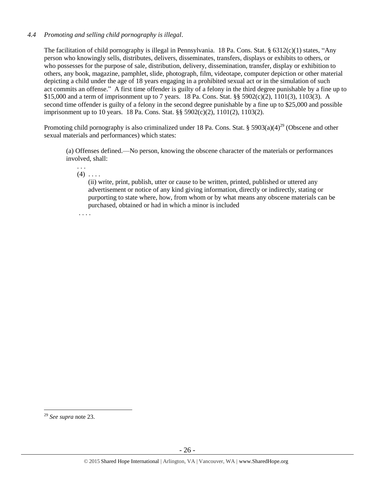# *4.4 Promoting and selling child pornography is illegal*.

The facilitation of child pornography is illegal in Pennsylvania. 18 Pa. Cons. Stat. § 6312(c)(1) states, "Any person who knowingly sells, distributes, delivers, disseminates, transfers, displays or exhibits to others, or who possesses for the purpose of sale, distribution, delivery, dissemination, transfer, display or exhibition to others, any book, magazine, pamphlet, slide, photograph, film, videotape, computer depiction or other material depicting a child under the age of 18 years engaging in a prohibited sexual act or in the simulation of such act commits an offense." A first time offender is guilty of a felony in the third degree punishable by a fine up to \$15,000 and a term of imprisonment up to 7 years. 18 Pa. Cons. Stat. §§ 5902(c)(2), 1101(3), 1103(3). A second time offender is guilty of a felony in the second degree punishable by a fine up to \$25,000 and possible imprisonment up to 10 years. 18 Pa. Cons. Stat. §§ 5902(c)(2), 1101(2), 1103(2).

Promoting child pornography is also criminalized under 18 Pa. Cons. Stat. § 5903(a)(4)<sup>29</sup> (Obscene and other sexual materials and performances) which states:

(a) Offenses defined.—No person, knowing the obscene character of the materials or performances involved, shall:

 $(4)$  ...

. . .

(ii) write, print, publish, utter or cause to be written, printed, published or uttered any advertisement or notice of any kind giving information, directly or indirectly, stating or purporting to state where, how, from whom or by what means any obscene materials can be purchased, obtained or had in which a minor is included

. . . .

<sup>29</sup> *See supra* note [23.](#page-17-0)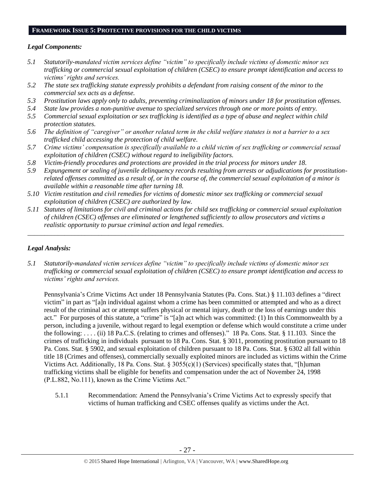## **FRAMEWORK ISSUE 5: PROTECTIVE PROVISIONS FOR THE CHILD VICTIMS**

## *Legal Components:*

- *5.1 Statutorily-mandated victim services define "victim" to specifically include victims of domestic minor sex trafficking or commercial sexual exploitation of children (CSEC) to ensure prompt identification and access to victims' rights and services.*
- *5.2 The state sex trafficking statute expressly prohibits a defendant from raising consent of the minor to the commercial sex acts as a defense.*
- *5.3 Prostitution laws apply only to adults, preventing criminalization of minors under 18 for prostitution offenses.*
- *5.4 State law provides a non-punitive avenue to specialized services through one or more points of entry.*
- *5.5 Commercial sexual exploitation or sex trafficking is identified as a type of abuse and neglect within child protection statutes.*
- *5.6 The definition of "caregiver" or another related term in the child welfare statutes is not a barrier to a sex trafficked child accessing the protection of child welfare.*
- *5.7 Crime victims' compensation is specifically available to a child victim of sex trafficking or commercial sexual exploitation of children (CSEC) without regard to ineligibility factors.*
- *5.8 Victim-friendly procedures and protections are provided in the trial process for minors under 18.*
- *5.9 Expungement or sealing of juvenile delinquency records resulting from arrests or adjudications for prostitutionrelated offenses committed as a result of, or in the course of, the commercial sexual exploitation of a minor is available within a reasonable time after turning 18.*
- *5.10 Victim restitution and civil remedies for victims of domestic minor sex trafficking or commercial sexual exploitation of children (CSEC) are authorized by law.*
- *5.11 Statutes of limitations for civil and criminal actions for child sex trafficking or commercial sexual exploitation of children (CSEC) offenses are eliminated or lengthened sufficiently to allow prosecutors and victims a realistic opportunity to pursue criminal action and legal remedies.*

*\_\_\_\_\_\_\_\_\_\_\_\_\_\_\_\_\_\_\_\_\_\_\_\_\_\_\_\_\_\_\_\_\_\_\_\_\_\_\_\_\_\_\_\_\_\_\_\_\_\_\_\_\_\_\_\_\_\_\_\_\_\_\_\_\_\_\_\_\_\_\_\_\_\_\_\_\_\_\_\_\_\_\_\_\_\_\_\_\_\_\_\_\_\_*

# *Legal Analysis:*

*5.1 Statutorily-mandated victim services define "victim" to specifically include victims of domestic minor sex trafficking or commercial sexual exploitation of children (CSEC) to ensure prompt identification and access to victims' rights and services.*

Pennsylvania's Crime Victims Act under 18 Pennsylvania Statutes (Pa. Cons. Stat.) § 11.103 defines a "direct victim" in part as "[a]n individual against whom a crime has been committed or attempted and who as a direct result of the criminal act or attempt suffers physical or mental injury, death or the loss of earnings under this act." For purposes of this statute, a "crime" is "[a]n act which was committed: (1) In this Commonwealth by a person, including a juvenile, without regard to legal exemption or defense which would constitute a crime under the following: . . . . (ii) 18 Pa.C.S. (relating to crimes and offenses)." 18 Pa. Cons. Stat. § 11.103. Since the crimes of trafficking in individuals pursuant to 18 Pa. Cons. Stat. § 3011, promoting prostitution pursuant to 18 Pa. Cons. Stat. § 5902, and sexual exploitation of children pursuant to 18 Pa. Cons. Stat. § 6302 all fall within title 18 (Crimes and offenses), commercially sexually exploited minors are included as victims within the Crime Victims Act. Additionally, 18 Pa. Cons. Stat. § 3055(c)(1) (Services) specifically states that, "[h]uman trafficking victims shall be eligible for benefits and compensation under the act of November 24, 1998 (P.L.882, No.111), known as the Crime Victims Act."

5.1.1 Recommendation: Amend the Pennsylvania's Crime Victims Act to expressly specify that victims of human trafficking and CSEC offenses qualify as victims under the Act.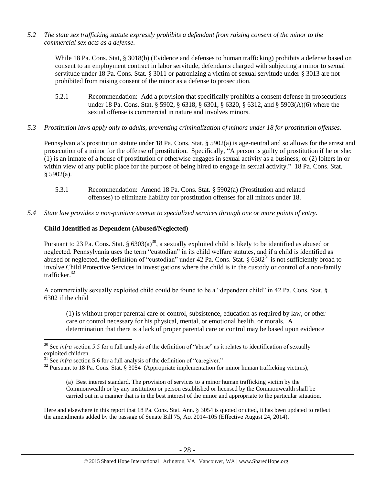*5.2 The state sex trafficking statute expressly prohibits a defendant from raising consent of the minor to the commercial sex acts as a defense.*

While 18 Pa. Cons. Stat, § 3018(b) (Evidence and defenses to human trafficking) prohibits a defense based on consent to an employment contract in labor servitude, defendants charged with subjecting a minor to sexual servitude under 18 Pa. Cons. Stat. § 3011 or patronizing a victim of sexual servitude under § 3013 are not prohibited from raising consent of the minor as a defense to prosecution.

- 5.2.1 Recommendation: Add a provision that specifically prohibits a consent defense in prosecutions under 18 Pa. Cons. Stat. § 5902, § 6318, § 6301, § 6320, § 6312, and § 5903(A)(6) where the sexual offense is commercial in nature and involves minors.
- *5.3 Prostitution laws apply only to adults, preventing criminalization of minors under 18 for prostitution offenses.*

Pennsylvania's prostitution statute under 18 Pa. Cons. Stat. § 5902(a) is age-neutral and so allows for the arrest and prosecution of a minor for the offense of prostitution. Specifically, "A person is guilty of prostitution if he or she: (1) is an inmate of a house of prostitution or otherwise engages in sexual activity as a business; or (2) loiters in or within view of any public place for the purpose of being hired to engage in sexual activity." 18 Pa. Cons. Stat.  $§$  5902(a).

- 5.3.1 Recommendation: Amend 18 Pa. Cons. Stat. § 5902(a) (Prostitution and related offenses) to eliminate liability for prostitution offenses for all minors under 18.
- *5.4 State law provides a non-punitive avenue to specialized services through one or more points of entry.*

## **Child Identified as Dependent (Abused/Neglected)**

Pursuant to 23 Pa. Cons. Stat. §  $6303(a)^{30}$ , a sexually exploited child is likely to be identified as abused or neglected. Pennsylvania uses the term "custodian" in its child welfare statutes, and if a child is identified as abused or neglected, the definition of "custodian" under 42 Pa. Cons. Stat. § 6302<sup>31</sup> is not sufficiently broad to involve Child Protective Services in investigations where the child is in the custody or control of a non-family trafficker. $32$ 

<span id="page-27-0"></span>A commercially sexually exploited child could be found to be a "dependent child" in 42 Pa. Cons. Stat. § 6302 if the child

(1) is without proper parental care or control, subsistence, education as required by law, or other care or control necessary for his physical, mental, or emotional health, or morals. A determination that there is a lack of proper parental care or control may be based upon evidence

 $\overline{a}$ 

(a) Best interest standard. The provision of services to a minor human trafficking victim by the Commonwealth or by any institution or person established or licensed by the Commonwealth shall be carried out in a manner that is in the best interest of the minor and appropriate to the particular situation.

Here and elsewhere in this report that 18 Pa. Cons. Stat. Ann. § 3054 is quoted or cited, it has been updated to reflect the amendments added by the passage of Senate Bill 75, Act 2014-105 (Effective August 24, 2014).

<sup>&</sup>lt;sup>30</sup> See *infra* section 5.5 for a full analysis of the definition of "abuse" as it relates to identification of sexually exploited children.

<sup>&</sup>lt;sup>31</sup> See *infra* section 5.6 for a full analysis of the definition of "caregiver."

<sup>&</sup>lt;sup>32</sup> Pursuant to 18 Pa. Cons. Stat. § 3054 (Appropriate implementation for minor human trafficking victims),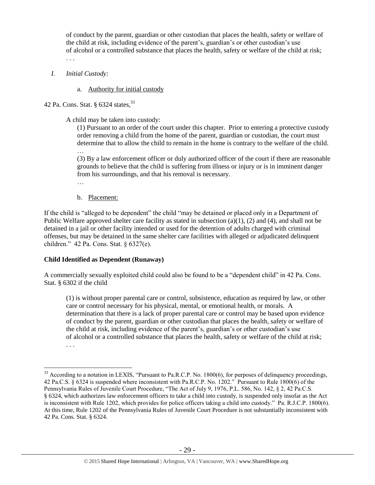of conduct by the parent, guardian or other custodian that places the health, safety or welfare of the child at risk, including evidence of the parent's, guardian's or other custodian's use of alcohol or a controlled substance that places the health, safety or welfare of the child at risk; . . .

- *I. Initial Custody:* 
	- a. Authority for initial custody

42 Pa. Cons. Stat. § 6324 states,<sup>33</sup>

A child may be taken into custody:

(1) Pursuant to an order of the court under this chapter. Prior to entering a protective custody order removing a child from the home of the parent, guardian or custodian, the court must determine that to allow the child to remain in the home is contrary to the welfare of the child.

… (3) By a law enforcement officer or duly authorized officer of the court if there are reasonable grounds to believe that the child is suffering from illness or injury or is in imminent danger from his surroundings, and that his removal is necessary.

…

b. Placement:

If the child is "alleged to be dependent" the child "may be detained or placed only in a Department of Public Welfare approved shelter care facility as stated in subsection (a)(1), (2) and (4), and shall not be detained in a jail or other facility intended or used for the detention of adults charged with criminal offenses, but may be detained in the same shelter care facilities with alleged or adjudicated delinquent children." 42 Pa. Cons. Stat. § 6327(e).

# **Child Identified as Dependent (Runaway)**

A commercially sexually exploited child could also be found to be a "dependent child" in 42 Pa. Cons. Stat. § 6302 if the child

(1) is without proper parental care or control, subsistence, education as required by law, or other care or control necessary for his physical, mental, or emotional health, or morals. A determination that there is a lack of proper parental care or control may be based upon evidence of conduct by the parent, guardian or other custodian that places the health, safety or welfare of the child at risk, including evidence of the parent's, guardian's or other custodian's use of alcohol or a controlled substance that places the health, safety or welfare of the child at risk; . . .

 $\overline{a}$  $33$  According to a notation in LEXIS, "Pursuant to Pa.R.C.P. No. 1800(6), for purposes of delinquency proceedings, 42 Pa.C.S. § 6324 is suspended where inconsistent with Pa.R.C.P. No. 1202." Pursuant to Rule 1800(6) of the Pennsylvania Rules of Juvenile Court Procedure, "The Act of July 9, 1976, P.L. 586, No. 142, § 2, 42 Pa.C.S. § 6324, which authorizes law enforcement officers to take a child into custody, is suspended only insofar as the Act is inconsistent with Rule 1202, which provides for police officers taking a child into custody." Pa. R.J.C.P. 1800(6). At this time, Rule 1202 of the Pennsylvania Rules of Juvenile Court Procedure is not substantially inconsistent with 42 Pa. Cons. Stat. § 6324.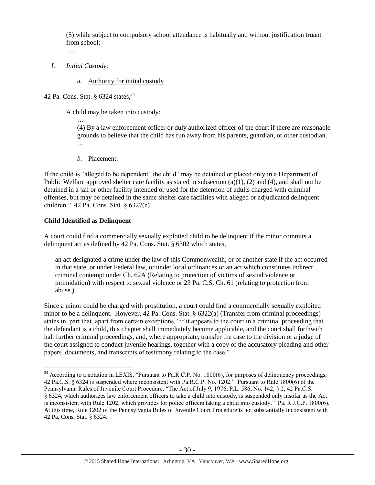(5) while subject to compulsory school attendance is habitually and without justification truant from school;

. . . .

- *I. Initial Custody:* 
	- a. Authority for initial custody
- 42 Pa. Cons. Stat. § 6324 states.<sup>34</sup>

A child may be taken into custody:

… (4) By a law enforcement officer or duly authorized officer of the court if there are reasonable grounds to believe that the child has run away from his parents, guardian, or other custodian. …

*b.* Placement:

If the child is "alleged to be dependent" the child "may be detained or placed only in a Department of Public Welfare approved shelter care facility as stated in subsection  $(a)(1)$ ,  $(2)$  and  $(4)$ , and shall not be detained in a jail or other facility intended or used for the detention of adults charged with criminal offenses, but may be detained in the same shelter care facilities with alleged or adjudicated delinquent children." 42 Pa. Cons. Stat. § 6327(e).

# **Child Identified as Delinquent**

 $\overline{a}$ 

A court could find a commercially sexually exploited child to be delinquent if the minor commits a delinquent act as defined by 42 Pa. Cons. Stat. § 6302 which states,

an act designated a crime under the law of this Commonwealth, or of another state if the act occurred in that state, or under Federal law, or under local ordinances or an act which constitutes indirect criminal contempt under Ch. 62A (Relating to protection of victims of sexual violence or intimidation) with respect to sexual violence or 23 Pa. C.S. Ch. 61 (relating to protection from abuse.)

Since a minor could be charged with prostitution, a court could find a commercially sexually exploited minor to be a delinquent. However, 42 Pa. Cons. Stat. § 6322(a) (Transfer from criminal proceedings) states in part that, apart from certain exceptions, "if it appears to the court in a criminal proceeding that the defendant is a child, this chapter shall immediately become applicable, and the court shall forthwith halt further criminal proceedings, and, where appropriate, transfer the case to the division or a judge of the court assigned to conduct juvenile hearings, together with a copy of the accusatory pleading and other papers, documents, and transcripts of testimony relating to the case."

 $34$  According to a notation in LEXIS, "Pursuant to Pa.R.C.P. No. 1800(6), for purposes of delinquency proceedings, 42 Pa.C.S. § 6324 is suspended where inconsistent with Pa.R.C.P. No. 1202." Pursuant to Rule 1800(6) of the Pennsylvania Rules of Juvenile Court Procedure, "The Act of July 9, 1976, P.L. 586, No. 142, § 2, 42 Pa.C.S. § 6324, which authorizes law enforcement officers to take a child into custody, is suspended only insofar as the Act is inconsistent with Rule 1202, which provides for police officers taking a child into custody." Pa. R.J.C.P. 1800(6). At this time, Rule 1202 of the Pennsylvania Rules of Juvenile Court Procedure is not substantially inconsistent with 42 Pa. Cons. Stat. § 6324.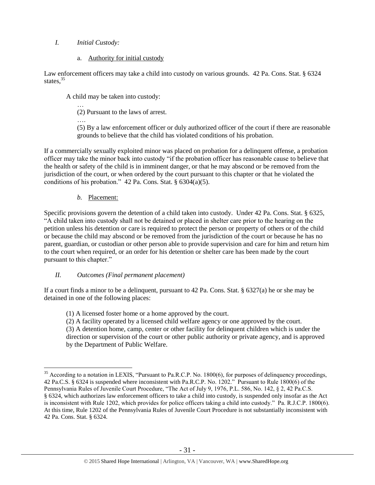# *I. Initial Custody:*

a. Authority for initial custody

Law enforcement officers may take a child into custody on various grounds. 42 Pa. Cons. Stat. § 6324 states,<sup>35</sup>

A child may be taken into custody:

… (2) Pursuant to the laws of arrest.

….

(5) By a law enforcement officer or duly authorized officer of the court if there are reasonable grounds to believe that the child has violated conditions of his probation.

If a commercially sexually exploited minor was placed on probation for a delinquent offense, a probation officer may take the minor back into custody "if the probation officer has reasonable cause to believe that the health or safety of the child is in imminent danger, or that he may abscond or be removed from the jurisdiction of the court, or when ordered by the court pursuant to this chapter or that he violated the conditions of his probation." 42 Pa. Cons. Stat.  $\S 6304(a)(5)$ .

# *b.* Placement:

Specific provisions govern the detention of a child taken into custody. Under 42 Pa. Cons. Stat. § 6325, "A child taken into custody shall not be detained or placed in shelter care prior to the hearing on the petition unless his detention or care is required to protect the person or property of others or of the child or because the child may abscond or be removed from the jurisdiction of the court or because he has no parent, guardian, or custodian or other person able to provide supervision and care for him and return him to the court when required, or an order for his detention or shelter care has been made by the court pursuant to this chapter."

# *II. Outcomes (Final permanent placement)*

If a court finds a minor to be a delinquent, pursuant to 42 Pa. Cons. Stat. § 6327(a) he or she may be detained in one of the following places:

(1) A licensed foster home or a home approved by the court.

(2) A facility operated by a licensed child welfare agency or one approved by the court. (3) A detention home, camp, center or other facility for delinquent children which is under the direction or supervision of the court or other public authority or private agency, and is approved by the Department of Public Welfare.

 $\overline{a}$ <sup>35</sup> According to a notation in LEXIS, "Pursuant to Pa.R.C.P. No. 1800(6), for purposes of delinquency proceedings, 42 Pa.C.S. § 6324 is suspended where inconsistent with Pa.R.C.P. No. 1202." Pursuant to Rule 1800(6) of the Pennsylvania Rules of Juvenile Court Procedure, "The Act of July 9, 1976, P.L. 586, No. 142, § 2, 42 Pa.C.S. § 6324, which authorizes law enforcement officers to take a child into custody, is suspended only insofar as the Act is inconsistent with Rule 1202, which provides for police officers taking a child into custody." Pa. R.J.C.P. 1800(6). At this time, Rule 1202 of the Pennsylvania Rules of Juvenile Court Procedure is not substantially inconsistent with 42 Pa. Cons. Stat. § 6324.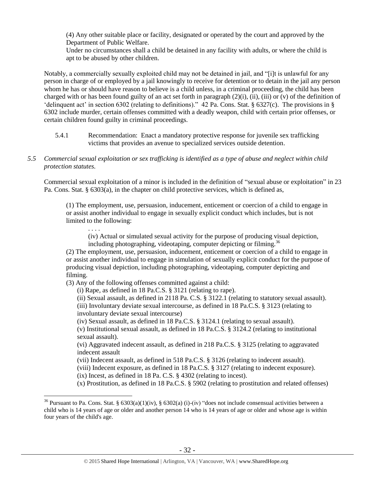(4) Any other suitable place or facility, designated or operated by the court and approved by the Department of Public Welfare.

Under no circumstances shall a child be detained in any facility with adults, or where the child is apt to be abused by other children.

Notably, a commercially sexually exploited child may not be detained in jail, and "[i]t is unlawful for any person in charge of or employed by a jail knowingly to receive for detention or to detain in the jail any person whom he has or should have reason to believe is a child unless, in a criminal proceeding, the child has been charged with or has been found guilty of an act set forth in paragraph  $(2)(i)$ , (ii), (iii) or (v) of the definition of 'delinquent act' in section 6302 (relating to definitions)." 42 Pa. Cons. Stat. § 6327(c). The provisions in § 6302 include murder, certain offenses committed with a deadly weapon, child with certain prior offenses, or certain children found guilty in criminal proceedings.

- 5.4.1 Recommendation: Enact a mandatory protective response for juvenile sex trafficking victims that provides an avenue to specialized services outside detention.
- *5.5 Commercial sexual exploitation or sex trafficking is identified as a type of abuse and neglect within child protection statutes.*

Commercial sexual exploitation of a minor is included in the definition of "sexual abuse or exploitation" in 23 Pa. Cons. Stat. § 6303(a), in the chapter on child protective services, which is defined as,

(1) The employment, use, persuasion, inducement, enticement or coercion of a child to engage in or assist another individual to engage in sexually explicit conduct which includes, but is not limited to the following:

(iv) Actual or simulated sexual activity for the purpose of producing visual depiction, including photographing, videotaping, computer depicting or filming.<sup>36</sup>

(2) The employment, use, persuasion, inducement, enticement or coercion of a child to engage in or assist another individual to engage in simulation of sexually explicit conduct for the purpose of producing visual depiction, including photographing, videotaping, computer depicting and filming.

(3) Any of the following offenses committed against a child:

. . . .

 $\overline{a}$ 

(i) Rape, as defined in 18 Pa.C.S. § 3121 (relating to rape).

(ii) Sexual assault, as defined in 2118 Pa. C.S. § 3122.1 (relating to statutory sexual assault).

(iii) Involuntary deviate sexual intercourse, as defined in 18 Pa.C.S. § 3123 (relating to involuntary deviate sexual intercourse)

(iv) Sexual assault, as defined in 18 Pa.C.S. § 3124.1 (relating to sexual assault).

(v) Institutional sexual assault, as defined in 18 Pa.C.S. § 3124.2 (relating to institutional sexual assault).

(vi) Aggravated indecent assault, as defined in 218 Pa.C.S. § 3125 (relating to aggravated indecent assault

(vii) Indecent assault, as defined in 518 Pa.C.S. § 3126 (relating to indecent assault).

(viii) Indecent exposure, as defined in 18 Pa.C.S. § 3127 (relating to indecent exposure).

(ix) Incest, as defined in 18 Pa. C.S. § 4302 (relating to incest).

(x) Prostitution, as defined in 18 Pa.C.S. § 5902 (relating to prostitution and related offenses)

<sup>&</sup>lt;sup>36</sup> Pursuant to Pa. Cons. Stat. §  $6303(a)(1)(iv)$ , §  $6302(a)(i)-(iv)$  "does not include consensual activities between a child who is 14 years of age or older and another person 14 who is 14 years of age or older and whose age is within four years of the child's age.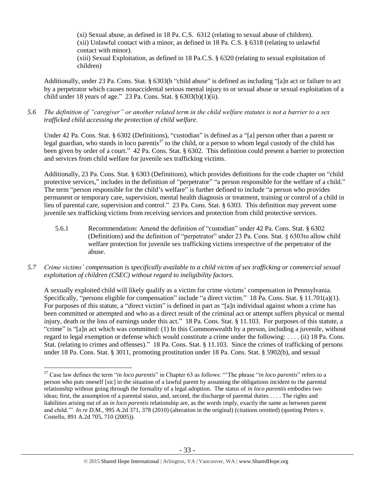(xi) Sexual abuse, as defined in 18 Pa. C.S. 6312 (relating to sexual abuse of children). (xii) Unlawful contact with a minor, as defined in 18 Pa. C.S. § 6318 (relating to unlawful contact with minor). (xiii) Sexual Exploitation, as defined in 18 Pa.C.S. § 6320 (relating to sexual exploitation of

children)

Additionally, under 23 Pa. Cons. Stat. § 6303(b "child abuse" is defined as including "[a]n act or failure to act by a perpetrator which causes nonaccidental serious mental injury to or sexual abuse or sexual exploitation of a child under 18 years of age." 23 Pa. Cons. Stat.  $\S$  6303(b)(1)(ii).

*5.6 The definition of "caregiver" or another related term in the child welfare statutes is not a barrier to a sex trafficked child accessing the protection of child welfare.*

Under 42 Pa. Cons. Stat. § 6302 (Definitions), "custodian" is defined as a "[a] person other than a parent or legal guardian, who stands in loco parentis $37$  to the child, or a person to whom legal custody of the child has been given by order of a court." 42 Pa. Cons. Stat. § 6302. This definition could present a barrier to protection and services from child welfare for juvenile sex trafficking victims.

Additionally, 23 Pa. Cons. Stat. § 6303 (Definitions), which provides definitions for the code chapter on "child protective services," includes in the definition of "perpetrator" "a person responsible for the welfare of a child." The term "person responsible for the child's welfare" is further defined to include "a person who provides permanent or temporary care, supervision, mental health diagnosis or treatment, training or control of a child in lieu of parental care, supervision and control." 23 Pa. Cons. Stat. § 6303. This definition may prevent some juvenile sex trafficking victims from receiving services and protection from child protective services.

- 5.6.1 Recommendation: Amend the definition of "custodian" under 42 Pa. Cons. Stat. § 6302 (Definitions) and the definition of "perpetrator" under 23 Pa. Cons. Stat. § 6303to allow child welfare protection for juvenile sex trafficking victims irrespective of the perpetrator of the abuse.
- *5.7 Crime victims' compensation is specifically available to a child victim of sex trafficking or commercial sexual exploitation of children (CSEC) without regard to ineligibility factors.*

A sexually exploited child will likely qualify as a victim for crime victims' compensation in Pennsylvania. Specifically, "persons eligible for compensation" include "a direct victim." 18 Pa. Cons. Stat. § 11.701(a)(1). For purposes of this statute, a "direct victim" is defined in part as "[a]n individual against whom a crime has been committed or attempted and who as a direct result of the criminal act or attempt suffers physical or mental injury, death or the loss of earnings under this act." 18 Pa. Cons. Stat. § 11.103. For purposes of this statute, a "crime" is "[a]n act which was committed: (1) In this Commonwealth by a person, including a juvenile, without regard to legal exemption or defense which would constitute a crime under the following: . . . . (ii) 18 Pa. Cons. Stat. (relating to crimes and offenses)." 18 Pa. Cons. Stat. § 11.103. Since the crimes of trafficking of persons under 18 Pa. Cons. Stat. § 3011, promoting prostitution under 18 Pa. Cons. Stat. § 5902(b), and sexual

<sup>37</sup> Case law defines the term "*in loco parentis*" in Chapter 63 as follows: "'The phrase "*in loco parentis*" refers to a person who puts oneself [sic] in the situation of a lawful parent by assuming the obligations incident to the parental relationship without going through the formality of a legal adoption. The status of *in loco parentis* embodies two ideas; first, the assumption of a parental status, and, second, the discharge of parental duties . . . . The rights and liabilities arising out of an *in loco parentis* relationship are, as the words imply, exactly the same as between parent and child.'" *In re* D.M.*,* 995 A.2d 371, 378 (2010) (alteration in the original) (citations omitted) (quoting Peters v. Costello*,* 891 A.2d 705, 710 (2005)).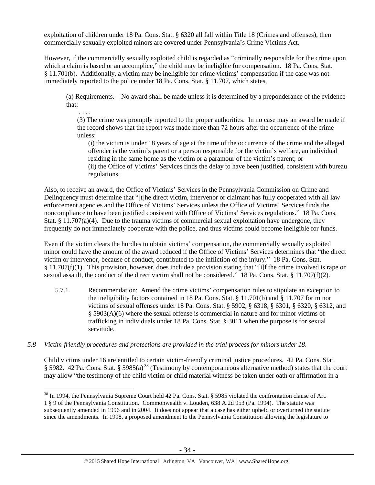exploitation of children under 18 Pa. Cons. Stat. § 6320 all fall within Title 18 (Crimes and offenses), then commercially sexually exploited minors are covered under Pennsylvania's Crime Victims Act.

However, if the commercially sexually exploited child is regarded as "criminally responsible for the crime upon which a claim is based or an accomplice," the child may be ineligible for compensation. 18 Pa. Cons. Stat. § 11.701(b). Additionally, a victim may be ineligible for crime victims' compensation if the case was not immediately reported to the police under 18 Pa. Cons. Stat. § 11.707, which states,

(a) Requirements.—No award shall be made unless it is determined by a preponderance of the evidence that:

. . . . (3) The crime was promptly reported to the proper authorities. In no case may an award be made if the record shows that the report was made more than 72 hours after the occurrence of the crime unless:

(i) the victim is under 18 years of age at the time of the occurrence of the crime and the alleged offender is the victim's parent or a person responsible for the victim's welfare, an individual residing in the same home as the victim or a paramour of the victim's parent; or (ii) the Office of Victims' Services finds the delay to have been justified, consistent with bureau regulations.

Also, to receive an award, the Office of Victims' Services in the Pennsylvania Commission on Crime and Delinquency must determine that "[t]he direct victim, intervenor or claimant has fully cooperated with all law enforcement agencies and the Office of Victims' Services unless the Office of Victims' Services finds the noncompliance to have been justified consistent with Office of Victims' Services regulations." 18 Pa. Cons. Stat. § 11.707(a)(4). Due to the trauma victims of commercial sexual exploitation have undergone, they frequently do not immediately cooperate with the police, and thus victims could become ineligible for funds.

Even if the victim clears the hurdles to obtain victims' compensation, the commercially sexually exploited minor could have the amount of the award reduced if the Office of Victims' Services determines that "the direct victim or intervenor, because of conduct, contributed to the infliction of the injury." 18 Pa. Cons. Stat. § 11.707(f)(1). This provision, however, does include a provision stating that "[i]f the crime involved is rape or sexual assault, the conduct of the direct victim shall not be considered." 18 Pa. Cons. Stat. § 11.707(f)(2).

- 5.7.1 Recommendation: Amend the crime victims' compensation rules to stipulate an exception to the ineligibility factors contained in 18 Pa. Cons. Stat. § 11.701(b) and § 11.707 for minor victims of sexual offenses under 18 Pa. Cons. Stat. § 5902, § 6318, § 6301, § 6320, § 6312, and § 5903(A)(6) where the sexual offense is commercial in nature and for minor victims of trafficking in individuals under 18 Pa. Cons. Stat. § 3011 when the purpose is for sexual servitude.
- *5.8 Victim-friendly procedures and protections are provided in the trial process for minors under 18.*

Child victims under 16 are entitled to certain victim-friendly criminal justice procedures. 42 Pa. Cons. Stat. § 5982. 42 Pa. Cons. Stat. § 5985(a)<sup>38</sup> (Testimony by contemporaneous alternative method) states that the court may allow "the testimony of the child victim or child material witness be taken under oath or affirmation in a

 $\overline{a}$ <sup>38</sup> In 1994, the Pennsylvania Supreme Court held 42 Pa. Cons. Stat. § 5985 violated the confrontation clause of Art. 1 § 9 of the Pennsylvania Constitution. Commonwealth v. Louden, 638 A.2d 953 (Pa. 1994). The statute was subsequently amended in 1996 and in 2004. It does not appear that a case has either upheld or overturned the statute since the amendments. In 1998, a proposed amendment to the Pennsylvania Constitution allowing the legislature to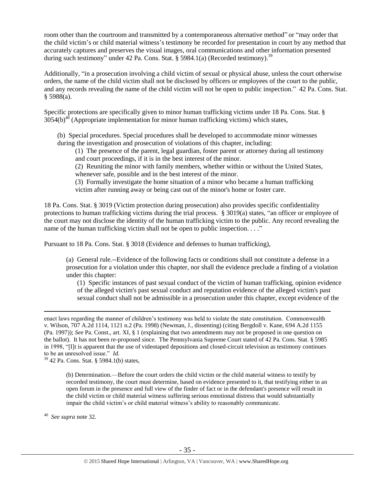room other than the courtroom and transmitted by a contemporaneous alternative method" or "may order that the child victim's or child material witness's testimony be recorded for presentation in court by any method that accurately captures and preserves the visual images, oral communications and other information presented during such testimony" under 42 Pa. Cons. Stat. § 5984.1(a) (Recorded testimony).<sup>39</sup>

Additionally, "in a prosecution involving a child victim of sexual or physical abuse, unless the court otherwise orders, the name of the child victim shall not be disclosed by officers or employees of the court to the public, and any records revealing the name of the child victim will not be open to public inspection." 42 Pa. Cons. Stat. § 5988(a).

Specific protections are specifically given to minor human trafficking victims under 18 Pa. Cons. Stat. §  $3054(b)^{40}$  (Appropriate implementation for minor human trafficking victims) which states,

(b) Special procedures. Special procedures shall be developed to accommodate minor witnesses during the investigation and prosecution of violations of this chapter, including:

(1) The presence of the parent, legal guardian, foster parent or attorney during all testimony and court proceedings, if it is in the best interest of the minor.

(2) Reuniting the minor with family members, whether within or without the United States, whenever safe, possible and in the best interest of the minor.

(3) Formally investigate the home situation of a minor who became a human trafficking victim after running away or being cast out of the minor's home or foster care.

18 Pa. Cons. Stat. § 3019 (Victim protection during prosecution) also provides specific confidentiality protections to human trafficking victims during the trial process. § 3019(a) states, "an officer or employee of the court may not disclose the identity of the human trafficking victim to the public. Any record revealing the name of the human trafficking victim shall not be open to public inspection. . . ."

Pursuant to 18 Pa. Cons. Stat. § 3018 (Evidence and defenses to human trafficking),

(a) General rule.--Evidence of the following facts or conditions shall not constitute a defense in a prosecution for a violation under this chapter, nor shall the evidence preclude a finding of a violation under this chapter:

(1) Specific instances of past sexual conduct of the victim of human trafficking, opinion evidence of the alleged victim's past sexual conduct and reputation evidence of the alleged victim's past sexual conduct shall not be admissible in a prosecution under this chapter, except evidence of the

<sup>39</sup> 42 Pa. Cons. Stat. § 5984.1(b) states,

(b) Determination.—Before the court orders the child victim or the child material witness to testify by recorded testimony, the court must determine, based on evidence presented to it, that testifying either in an open forum in the presence and full view of the finder of fact or in the defendant's presence will result in the child victim or child material witness suffering serious emotional distress that would substantially impair the child victim's or child material witness's ability to reasonably communicate.

40 *See supra* note [32.](#page-27-0)

enact laws regarding the manner of children's testimony was held to violate the state constitution. Commonwealth v. Wilson, 707 A.2d 1114, 1121 n.2 (Pa. 1998) (Newman, J., dissenting) (citing Bergdoll v. Kane, 694 A.2d 1155 (Pa. 1997)); *See* Pa. Const., art. XI, § 1 (explaining that two amendments may not be proposed in one question on the ballot). It has not been re-proposed since. The Pennsylvania Supreme Court stated of 42 Pa. Cons. Stat. § 5985 in 1998, "[I]t is apparent that the use of videotaped depositions and closed-circuit television as testimony continues to be an unresolved issue." *Id.*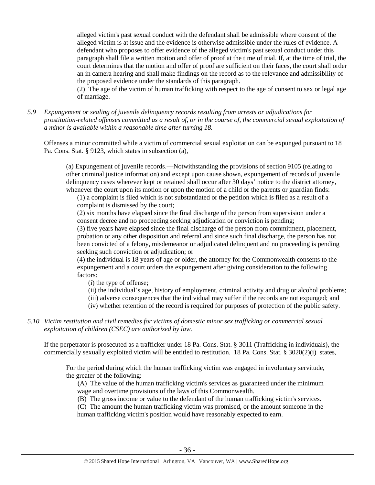alleged victim's past sexual conduct with the defendant shall be admissible where consent of the alleged victim is at issue and the evidence is otherwise admissible under the rules of evidence. A defendant who proposes to offer evidence of the alleged victim's past sexual conduct under this paragraph shall file a written motion and offer of proof at the time of trial. If, at the time of trial, the court determines that the motion and offer of proof are sufficient on their faces, the court shall order an in camera hearing and shall make findings on the record as to the relevance and admissibility of the proposed evidence under the standards of this paragraph.

(2) The age of the victim of human trafficking with respect to the age of consent to sex or legal age of marriage.

*5.9 Expungement or sealing of juvenile delinquency records resulting from arrests or adjudications for prostitution-related offenses committed as a result of, or in the course of, the commercial sexual exploitation of a minor is available within a reasonable time after turning 18.*

Offenses a minor committed while a victim of commercial sexual exploitation can be expunged pursuant to 18 Pa. Cons. Stat. § 9123, which states in subsection (a),

(a) Expungement of juvenile records.—Notwithstanding the provisions of section 9105 (relating to other criminal justice information) and except upon cause shown, expungement of records of juvenile delinquency cases wherever kept or retained shall occur after 30 days' notice to the district attorney, whenever the court upon its motion or upon the motion of a child or the parents or guardian finds:

(1) a complaint is filed which is not substantiated or the petition which is filed as a result of a complaint is dismissed by the court;

(2) six months have elapsed since the final discharge of the person from supervision under a consent decree and no proceeding seeking adjudication or conviction is pending;

(3) five years have elapsed since the final discharge of the person from commitment, placement, probation or any other disposition and referral and since such final discharge, the person has not been convicted of a felony, misdemeanor or adjudicated delinquent and no proceeding is pending seeking such conviction or adjudication; or

(4) the individual is 18 years of age or older, the attorney for the Commonwealth consents to the expungement and a court orders the expungement after giving consideration to the following factors:

(i) the type of offense;

- (ii) the individual's age, history of employment, criminal activity and drug or alcohol problems;
- (iii) adverse consequences that the individual may suffer if the records are not expunged; and
- (iv) whether retention of the record is required for purposes of protection of the public safety.
- *5.10 Victim restitution and civil remedies for victims of domestic minor sex trafficking or commercial sexual exploitation of children (CSEC) are authorized by law.*

If the perpetrator is prosecuted as a trafficker under 18 Pa. Cons. Stat. § 3011 (Trafficking in individuals), the commercially sexually exploited victim will be entitled to restitution. 18 Pa. Cons. Stat. § 3020(2)(i) states,

For the period during which the human trafficking victim was engaged in involuntary servitude, the greater of the following:

(A) The value of the human trafficking victim's services as guaranteed under the minimum wage and overtime provisions of the laws of this Commonwealth.

(B) The gross income or value to the defendant of the human trafficking victim's services.

(C) The amount the human trafficking victim was promised, or the amount someone in the human trafficking victim's position would have reasonably expected to earn.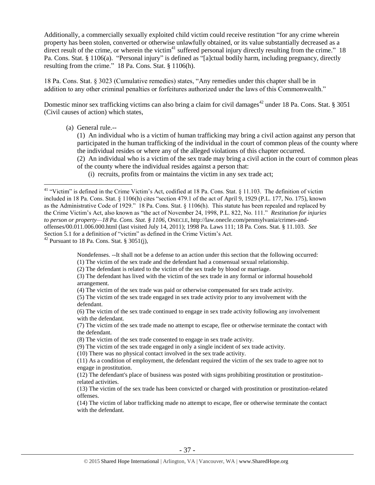Additionally, a commercially sexually exploited child victim could receive restitution "for any crime wherein property has been stolen, converted or otherwise unlawfully obtained, or its value substantially decreased as a direct result of the crime, or wherein the victim<sup>41</sup> suffered personal injury directly resulting from the crime." 18 Pa. Cons. Stat. § 1106(a). "Personal injury" is defined as "[a]ctual bodily harm, including pregnancy, directly resulting from the crime." 18 Pa. Cons. Stat. § 1106(h).

18 Pa. Cons. Stat. § 3023 (Cumulative remedies) states, "Any remedies under this chapter shall be in addition to any other criminal penalties or forfeitures authorized under the laws of this Commonwealth."

Domestic minor sex trafficking victims can also bring a claim for civil damages<sup>42</sup> under 18 Pa. Cons. Stat. § 3051 (Civil causes of action) which states,

(a) General rule.--

 $\overline{a}$ 

(1) An individual who is a victim of human trafficking may bring a civil action against any person that participated in the human trafficking of the individual in the court of common pleas of the county where the individual resides or where any of the alleged violations of this chapter occurred.

(2) An individual who is a victim of the sex trade may bring a civil action in the court of common pleas of the county where the individual resides against a person that:

(i) recruits, profits from or maintains the victim in any sex trade act;

 $42$  Pursuant to 18 Pa. Cons. Stat. § 3051(j),

Nondefenses. --It shall not be a defense to an action under this section that the following occurred:

(1) The victim of the sex trade and the defendant had a consensual sexual relationship.

(2) The defendant is related to the victim of the sex trade by blood or marriage.

(3) The defendant has lived with the victim of the sex trade in any formal or informal household arrangement.

(4) The victim of the sex trade was paid or otherwise compensated for sex trade activity.

(6) The victim of the sex trade continued to engage in sex trade activity following any involvement with the defendant.

(7) The victim of the sex trade made no attempt to escape, flee or otherwise terminate the contact with the defendant.

(8) The victim of the sex trade consented to engage in sex trade activity.

(9) The victim of the sex trade engaged in only a single incident of sex trade activity.

(10) There was no physical contact involved in the sex trade activity.

(11) As a condition of employment, the defendant required the victim of the sex trade to agree not to engage in prostitution.

(12) The defendant's place of business was posted with signs prohibiting prostitution or prostitutionrelated activities.

(13) The victim of the sex trade has been convicted or charged with prostitution or prostitution-related offenses.

(14) The victim of labor trafficking made no attempt to escape, flee or otherwise terminate the contact with the defendant.

<sup>&</sup>lt;sup>41</sup> "Victim" is defined in the Crime Victim's Act, codified at 18 Pa. Cons. Stat. § 11.103. The definition of victim included in 18 Pa. Cons. Stat. § 1106(h) cites "section 479.1 of the act of April 9, 1929 (P.L. 177, No. 175), known as the Administrative Code of 1929." 18 Pa. Cons. Stat. § 1106(h). This statute has been repealed and replaced by the Crime Victim's Act, also known as "the act of November 24, 1998, P.L. 822, No. 111." *Restitution for injuries to person or property—18 Pa. Cons. Stat. § 1106*, ONECLE, http://law.onecle.com/pennsylvania/crimes-andoffenses/00.011.006.000.html (last visited July 14, 2011); 1998 Pa. Laws 111; 18 Pa. Cons. Stat. § 11.103. *See* Section 5.1 for a definition of "victim" as defined in the Crime Victim's Act.

<sup>(5)</sup> The victim of the sex trade engaged in sex trade activity prior to any involvement with the defendant.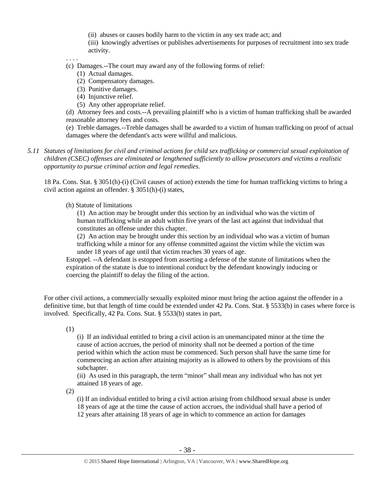(ii) abuses or causes bodily harm to the victim in any sex trade act; and

(iii) knowingly advertises or publishes advertisements for purposes of recruitment into sex trade activity.

. . . .

(c) Damages.--The court may award any of the following forms of relief:

- (1) Actual damages.
- (2) Compensatory damages.
- (3) Punitive damages.
- (4) Injunctive relief.
- (5) Any other appropriate relief.

(d) Attorney fees and costs.--A prevailing plaintiff who is a victim of human trafficking shall be awarded reasonable attorney fees and costs.

(e) Treble damages.--Treble damages shall be awarded to a victim of human trafficking on proof of actual damages where the defendant's acts were willful and malicious.

*5.11 Statutes of limitations for civil and criminal actions for child sex trafficking or commercial sexual exploitation of children (CSEC) offenses are eliminated or lengthened sufficiently to allow prosecutors and victims a realistic opportunity to pursue criminal action and legal remedies.*

18 Pa. Cons. Stat. § 3051(h)-(i) (Civil causes of action) extends the time for human trafficking victims to bring a civil action against an offender. § 3051(h)-(i) states,

(h) Statute of limitations

(1) An action may be brought under this section by an individual who was the victim of human trafficking while an adult within five years of the last act against that individual that constitutes an offense under this chapter.

(2) An action may be brought under this section by an individual who was a victim of human trafficking while a minor for any offense committed against the victim while the victim was under 18 years of age until that victim reaches 30 years of age.

Estoppel. --A defendant is estopped from asserting a defense of the statute of limitations when the expiration of the statute is due to intentional conduct by the defendant knowingly inducing or coercing the plaintiff to delay the filing of the action.

For other civil actions, a commercially sexually exploited minor must bring the action against the offender in a definitive time, but that length of time could be extended under 42 Pa. Cons. Stat. § 5533(b) in cases where force is involved. Specifically, 42 Pa. Cons. Stat. § 5533(b) states in part,

(1)

(i) If an individual entitled to bring a civil action is an unemancipated minor at the time the cause of action accrues, the period of minority shall not be deemed a portion of the time period within which the action must be commenced. Such person shall have the same time for commencing an action after attaining majority as is allowed to others by the provisions of this subchapter.

(ii) As used in this paragraph, the term "minor" shall mean any individual who has not yet attained 18 years of age.

(2)

(i) If an individual entitled to bring a civil action arising from childhood sexual abuse is under 18 years of age at the time the cause of action accrues, the individual shall have a period of 12 years after attaining 18 years of age in which to commence an action for damages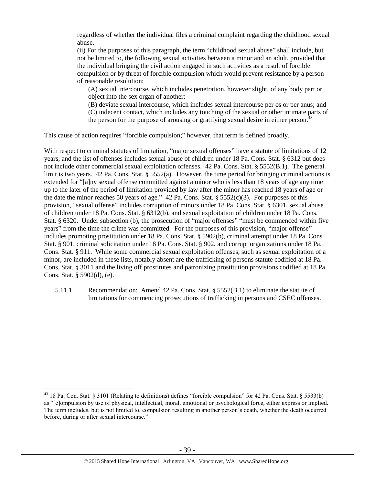regardless of whether the individual files a criminal complaint regarding the childhood sexual abuse.

(ii) For the purposes of this paragraph, the term "childhood sexual abuse" shall include, but not be limited to, the following sexual activities between a minor and an adult, provided that the individual bringing the civil action engaged in such activities as a result of forcible compulsion or by threat of forcible compulsion which would prevent resistance by a person of reasonable resolution:

(A) sexual intercourse, which includes penetration, however slight, of any body part or object into the sex organ of another;

(B) deviate sexual intercourse, which includes sexual intercourse per os or per anus; and (C) indecent contact, which includes any touching of the sexual or other intimate parts of the person for the purpose of arousing or gratifying sexual desire in either person.  $43$ 

This cause of action requires "forcible compulsion;" however, that term is defined broadly.

With respect to criminal statutes of limitation, "major sexual offenses" have a statute of limitations of 12 years, and the list of offenses includes sexual abuse of children under 18 Pa. Cons. Stat. § 6312 but does not include other commercial sexual exploitation offenses. 42 Pa. Cons. Stat. § 5552(B.1). The general limit is two years. 42 Pa. Cons. Stat. § 5552(a). However, the time period for bringing criminal actions is extended for "[a]ny sexual offense committed against a minor who is less than 18 years of age any time up to the later of the period of limitation provided by law after the minor has reached 18 years of age or the date the minor reaches 50 years of age." 42 Pa. Cons. Stat.  $\S$  5552(c)(3). For purposes of this provision, "sexual offense" includes corruption of minors under 18 Pa. Cons. Stat. § 6301, sexual abuse of children under 18 Pa. Cons. Stat. § 6312(b), and sexual exploitation of children under 18 Pa. Cons. Stat. § 6320. Under subsection (b), the prosecution of "major offenses" "must be commenced within five years" from the time the crime was committed. For the purposes of this provision, "major offense" includes promoting prostitution under 18 Pa. Cons. Stat. § 5902(b), criminal attempt under 18 Pa. Cons. Stat. § 901, criminal solicitation under 18 Pa. Cons. Stat. § 902, and corrupt organizations under 18 Pa. Cons. Stat. § 911. While some commercial sexual exploitation offenses, such as sexual exploitation of a minor, are included in these lists, notably absent are the trafficking of persons statute codified at 18 Pa. Cons. Stat. § 3011 and the living off prostitutes and patronizing prostitution provisions codified at 18 Pa. Cons. Stat. § 5902(d), (e).

5.11.1 Recommendation: Amend 42 Pa. Cons. Stat. § 5552(B.1) to eliminate the statute of limitations for commencing prosecutions of trafficking in persons and CSEC offenses.

<sup>43</sup> 18 Pa. Con. Stat. § 3101 (Relating to definitions) defines "forcible compulsion" for 42 Pa. Cons. Stat. § 5533(b) as "[c]ompulsion by use of physical, intellectual, moral, emotional or psychological force, either express or implied. The term includes, but is not limited to, compulsion resulting in another person's death, whether the death occurred before, during or after sexual intercourse."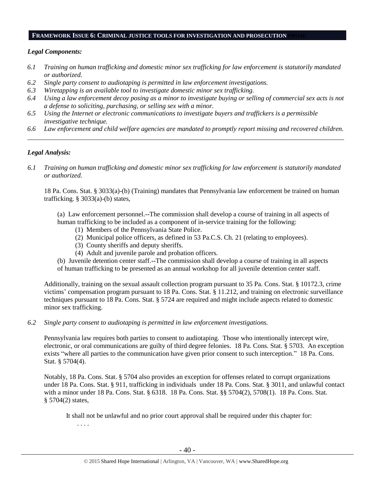#### **FRAMEWORK ISSUE 6: CRIMINAL JUSTICE TOOLS FOR INVESTIGATION AND PROSECUTION PROSE**

## *Legal Components:*

- *6.1 Training on human trafficking and domestic minor sex trafficking for law enforcement is statutorily mandated or authorized.*
- *6.2 Single party consent to audiotaping is permitted in law enforcement investigations.*
- *6.3 Wiretapping is an available tool to investigate domestic minor sex trafficking.*
- *6.4 Using a law enforcement decoy posing as a minor to investigate buying or selling of commercial sex acts is not a defense to soliciting, purchasing, or selling sex with a minor.*
- *6.5 Using the Internet or electronic communications to investigate buyers and traffickers is a permissible investigative technique.*
- *6.6 Law enforcement and child welfare agencies are mandated to promptly report missing and recovered children. \_\_\_\_\_\_\_\_\_\_\_\_\_\_\_\_\_\_\_\_\_\_\_\_\_\_\_\_\_\_\_\_\_\_\_\_\_\_\_\_\_\_\_\_\_\_\_\_\_\_\_\_\_\_\_\_\_\_\_\_\_\_\_\_\_\_\_\_\_\_\_\_\_\_\_\_\_\_\_\_\_\_\_\_\_\_\_\_\_\_\_\_\_\_*

# *Legal Analysis:*

*6.1 Training on human trafficking and domestic minor sex trafficking for law enforcement is statutorily mandated or authorized.*

18 Pa. Cons. Stat. § 3033(a)-(b) (Training) mandates that Pennsylvania law enforcement be trained on human trafficking. § 3033(a)-(b) states,

(a) Law enforcement personnel.--The commission shall develop a course of training in all aspects of human trafficking to be included as a component of in-service training for the following:

- (1) Members of the Pennsylvania State Police.
- (2) Municipal police officers, as defined in 53 Pa.C.S. Ch. 21 (relating to employees).
- (3) County sheriffs and deputy sheriffs.
- (4) Adult and juvenile parole and probation officers.

(b) Juvenile detention center staff.--The commission shall develop a course of training in all aspects of human trafficking to be presented as an annual workshop for all juvenile detention center staff.

Additionally, training on the sexual assault collection program pursuant to 35 Pa. Cons. Stat. § 10172.3, crime victims' compensation program pursuant to 18 Pa. Cons. Stat. § 11.212, and training on electronic surveillance techniques pursuant to 18 Pa. Cons. Stat. § 5724 are required and might include aspects related to domestic minor sex trafficking.

*6.2 Single party consent to audiotaping is permitted in law enforcement investigations.*

Pennsylvania law requires both parties to consent to audiotaping. Those who intentionally intercept wire, electronic, or oral communications are guilty of third degree felonies. 18 Pa. Cons. Stat. § 5703. An exception exists "where all parties to the communication have given prior consent to such interception." 18 Pa. Cons. Stat. § 5704(4).

Notably, 18 Pa. Cons. Stat. § 5704 also provides an exception for offenses related to corrupt organizations under 18 Pa. Cons. Stat. § 911, trafficking in individuals under 18 Pa. Cons. Stat. § 3011, and unlawful contact with a minor under 18 Pa. Cons. Stat. § 6318. 18 Pa. Cons. Stat. §§ 5704(2), 5708(1). 18 Pa. Cons. Stat. § 5704(2) states,

It shall not be unlawful and no prior court approval shall be required under this chapter for: . . . .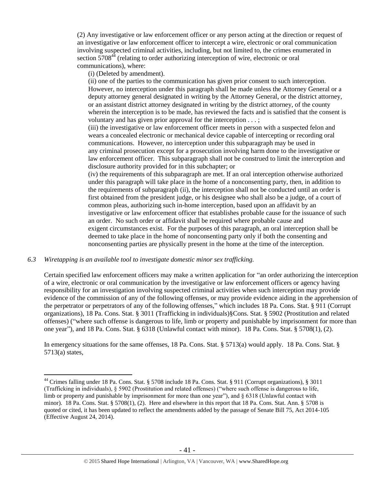(2) Any investigative or law enforcement officer or any person acting at the direction or request of an investigative or law enforcement officer to intercept a wire, electronic or oral communication involving suspected criminal activities, including, but not limited to, the crimes enumerated in section  $5708<sup>44</sup>$  (relating to order authorizing interception of wire, electronic or oral communications), where:

(i) (Deleted by amendment).

(ii) one of the parties to the communication has given prior consent to such interception. However, no interception under this paragraph shall be made unless the Attorney General or a deputy attorney general designated in writing by the Attorney General, or the district attorney, or an assistant district attorney designated in writing by the district attorney, of the county wherein the interception is to be made, has reviewed the facts and is satisfied that the consent is voluntary and has given prior approval for the interception . . . ;

(iii) the investigative or law enforcement officer meets in person with a suspected felon and wears a concealed electronic or mechanical device capable of intercepting or recording oral communications. However, no interception under this subparagraph may be used in any criminal prosecution except for a prosecution involving harm done to the investigative or law enforcement officer. This subparagraph shall not be construed to limit the interception and disclosure authority provided for in this subchapter; or

(iv) the requirements of this subparagraph are met. If an oral interception otherwise authorized under this paragraph will take place in the home of a nonconsenting party, then, in addition to the requirements of subparagraph (ii), the interception shall not be conducted until an order is first obtained from the president judge, or his designee who shall also be a judge, of a court of common pleas, authorizing such in-home interception, based upon an affidavit by an investigative or law enforcement officer that establishes probable cause for the issuance of such an order. No such order or affidavit shall be required where probable cause and exigent circumstances exist. For the purposes of this paragraph, an oral interception shall be deemed to take place in the home of nonconsenting party only if both the consenting and nonconsenting parties are physically present in the home at the time of the interception.

## *6.3 Wiretapping is an available tool to investigate domestic minor sex trafficking.*

 $\overline{a}$ 

Certain specified law enforcement officers may make a written application for "an order authorizing the interception of a wire, electronic or oral communication by the investigative or law enforcement officers or agency having responsibility for an investigation involving suspected criminal activities when such interception may provide evidence of the commission of any of the following offenses, or may provide evidence aiding in the apprehension of the perpetrator or perpetrators of any of the following offenses," which includes 18 Pa. Cons. Stat. § 911 (Corrupt organizations), 18 Pa. Cons. Stat. § 3011 (Trafficking in individuals)§Cons. Stat. § 5902 (Prostitution and related offenses) ("where such offense is dangerous to life, limb or property and punishable by imprisonment for more than one year"), and 18 Pa. Cons. Stat. § 6318 (Unlawful contact with minor). 18 Pa. Cons. Stat. § 5708(1), (2).

In emergency situations for the same offenses, 18 Pa. Cons. Stat. § 5713(a) would apply. 18 Pa. Cons. Stat. § 5713(a) states,

<sup>&</sup>lt;sup>44</sup> Crimes falling under 18 Pa. Cons. Stat. § 5708 include 18 Pa. Cons. Stat. § 911 (Corrupt organizations), § 3011 (Trafficking in individuals), § 5902 (Prostitution and related offenses) ("where such offense is dangerous to life, limb or property and punishable by imprisonment for more than one year"), and  $\S 6318$  (Unlawful contact with minor). 18 Pa. Cons. Stat. § 5708(1), (2). Here and elsewhere in this report that 18 Pa. Cons. Stat. Ann. § 5708 is quoted or cited, it has been updated to reflect the amendments added by the passage of Senate Bill 75, Act 2014-105 (Effective August 24, 2014).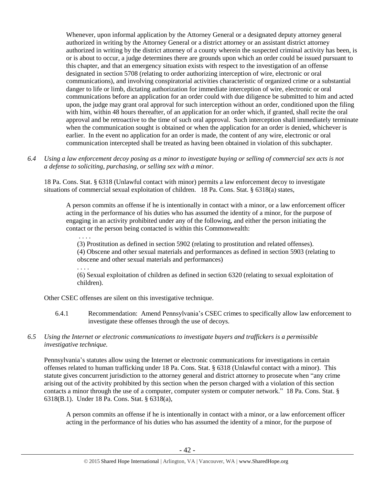Whenever, upon informal application by the Attorney General or a designated deputy attorney general authorized in writing by the Attorney General or a district attorney or an assistant district attorney authorized in writing by the district attorney of a county wherein the suspected criminal activity has been, is or is about to occur, a judge determines there are grounds upon which an order could be issued pursuant to this chapter, and that an emergency situation exists with respect to the investigation of an offense designated in section 5708 (relating to order authorizing interception of wire, electronic or oral communications), and involving conspiratorial activities characteristic of organized crime or a substantial danger to life or limb, dictating authorization for immediate interception of wire, electronic or oral communications before an application for an order could with due diligence be submitted to him and acted upon, the judge may grant oral approval for such interception without an order, conditioned upon the filing with him, within 48 hours thereafter, of an application for an order which, if granted, shall recite the oral approval and be retroactive to the time of such oral approval. Such interception shall immediately terminate when the communication sought is obtained or when the application for an order is denied, whichever is earlier. In the event no application for an order is made, the content of any wire, electronic or oral communication intercepted shall be treated as having been obtained in violation of this subchapter.

*6.4 Using a law enforcement decoy posing as a minor to investigate buying or selling of commercial sex acts is not a defense to soliciting, purchasing, or selling sex with a minor.*

18 Pa. Cons. Stat. § 6318 (Unlawful contact with minor) permits a law enforcement decoy to investigate situations of commercial sexual exploitation of children. 18 Pa. Cons. Stat. § 6318(a) states,

A person commits an offense if he is intentionally in contact with a minor, or a law enforcement officer acting in the performance of his duties who has assumed the identity of a minor, for the purpose of engaging in an activity prohibited under any of the following, and either the person initiating the contact or the person being contacted is within this Commonwealth:

(3) Prostitution as defined in section 5902 (relating to prostitution and related offenses). (4) Obscene and other sexual materials and performances as defined in section 5903 (relating to obscene and other sexual materials and performances)

. . . . (6) Sexual exploitation of children as defined in section 6320 (relating to sexual exploitation of children).

Other CSEC offenses are silent on this investigative technique.

. . . .

- 6.4.1 Recommendation: Amend Pennsylvania's CSEC crimes to specifically allow law enforcement to investigate these offenses through the use of decoys.
- *6.5 Using the Internet or electronic communications to investigate buyers and traffickers is a permissible investigative technique.*

Pennsylvania's statutes allow using the Internet or electronic communications for investigations in certain offenses related to human trafficking under 18 Pa. Cons. Stat. § 6318 (Unlawful contact with a minor). This statute gives concurrent jurisdiction to the attorney general and district attorney to prosecute when "any crime arising out of the activity prohibited by this section when the person charged with a violation of this section contacts a minor through the use of a computer, computer system or computer network." 18 Pa. Cons. Stat. § 6318(B.1). Under 18 Pa. Cons. Stat. § 6318(a),

A person commits an offense if he is intentionally in contact with a minor, or a law enforcement officer acting in the performance of his duties who has assumed the identity of a minor, for the purpose of